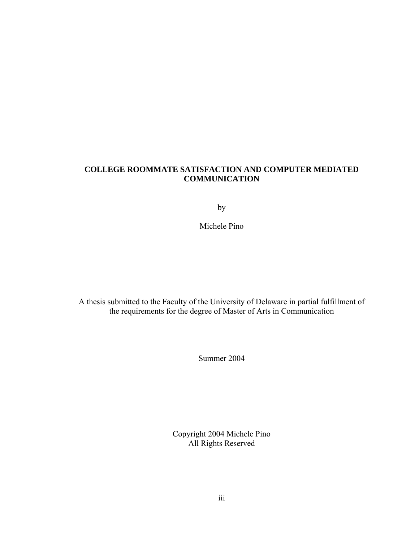## **COLLEGE ROOMMATE SATISFACTION AND COMPUTER MEDIATED COMMUNICATION**

by

Michele Pino

A thesis submitted to the Faculty of the University of Delaware in partial fulfillment of the requirements for the degree of Master of Arts in Communication

Summer 2004

Copyright 2004 Michele Pino All Rights Reserved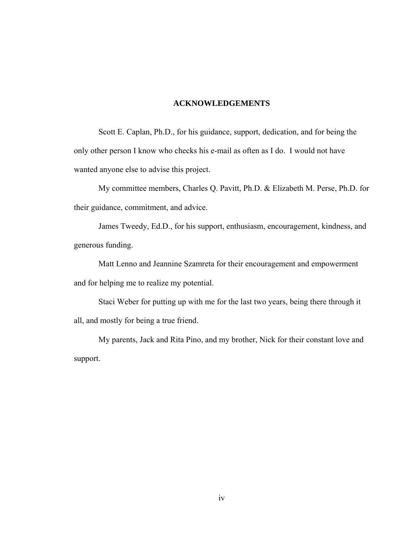### **ACKNOWLEDGEMENTS**

Scott E. Caplan, Ph.D., for his guidance, support, dedication, and for being the only other person I know who checks his e-mail as often as I do. I would not have wanted anyone else to advise this project.

My committee members, Charles Q. Pavitt, Ph.D. & Elizabeth M. Perse, Ph.D. for their guidance, commitment, and advice.

James Tweedy, Ed.D., for his support, enthusiasm, encouragement, kindness, and generous funding.

Matt Lenno and Jeannine Szamreta for their encouragement and empowerment and for helping me to realize my potential.

Staci Weber for putting up with me for the last two years, being there through it all, and mostly for being a true friend.

My parents, Jack and Rita Pino, and my brother, Nick for their constant love and support.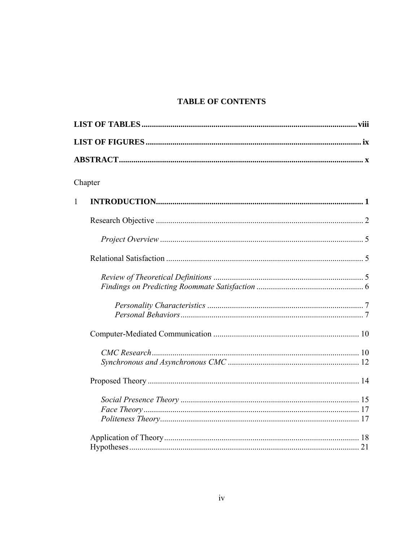# **TABLE OF CONTENTS**

|              | Chapter |  |  |  |
|--------------|---------|--|--|--|
|              |         |  |  |  |
| $\mathbf{1}$ |         |  |  |  |
|              |         |  |  |  |
|              |         |  |  |  |
|              |         |  |  |  |
|              |         |  |  |  |
|              |         |  |  |  |
|              |         |  |  |  |
|              |         |  |  |  |
|              |         |  |  |  |
|              |         |  |  |  |
|              |         |  |  |  |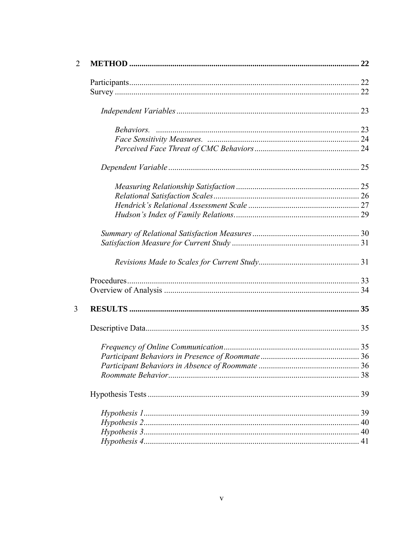| $\overline{2}$ |  |
|----------------|--|
|                |  |
|                |  |
|                |  |
|                |  |
|                |  |
|                |  |
|                |  |
|                |  |
|                |  |
|                |  |
|                |  |
|                |  |
|                |  |
|                |  |
|                |  |
|                |  |
|                |  |
| 3              |  |
|                |  |
|                |  |
|                |  |
|                |  |
|                |  |
|                |  |
|                |  |
|                |  |
|                |  |
|                |  |
|                |  |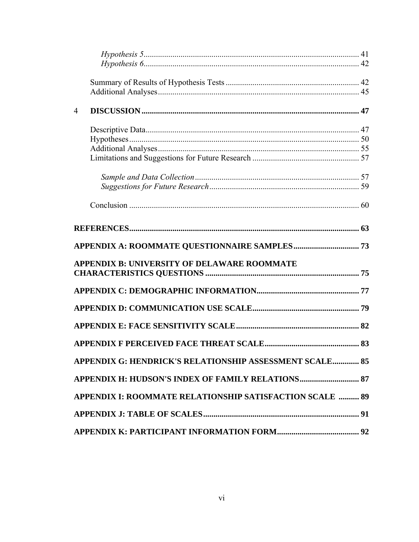| $\overline{4}$ |                                                          |  |
|----------------|----------------------------------------------------------|--|
|                |                                                          |  |
|                |                                                          |  |
|                |                                                          |  |
|                |                                                          |  |
|                |                                                          |  |
|                |                                                          |  |
|                |                                                          |  |
|                |                                                          |  |
|                |                                                          |  |
|                | <b>APPENDIX B: UNIVERSITY OF DELAWARE ROOMMATE</b>       |  |
|                |                                                          |  |
|                |                                                          |  |
|                |                                                          |  |
|                |                                                          |  |
|                |                                                          |  |
|                | APPENDIX G: HENDRICK'S RELATIONSHIP ASSESSMENT SCALE 85  |  |
|                |                                                          |  |
|                | APPENDIX I: ROOMMATE RELATIONSHIP SATISFACTION SCALE  89 |  |
|                |                                                          |  |
|                |                                                          |  |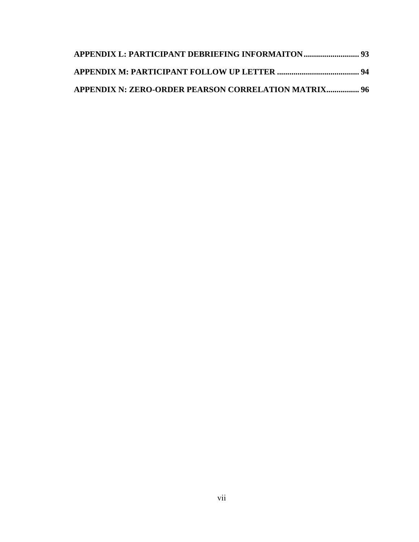| <b>APPENDIX N: ZERO-ORDER PEARSON CORRELATION MATRIX 96</b> |  |
|-------------------------------------------------------------|--|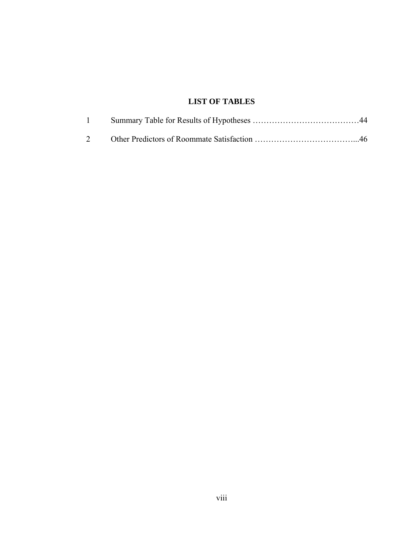# **LIST OF TABLES**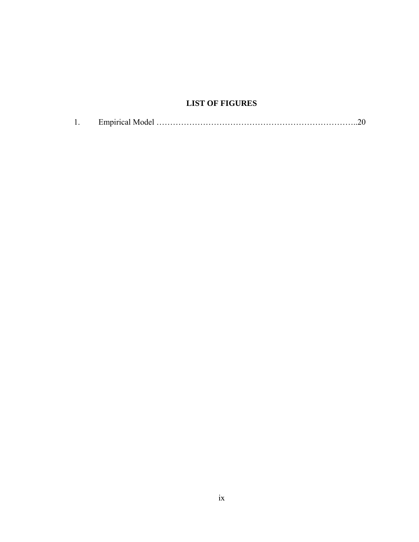# **LIST OF FIGURES**

| <b>I</b> . |  |  |  |
|------------|--|--|--|
|------------|--|--|--|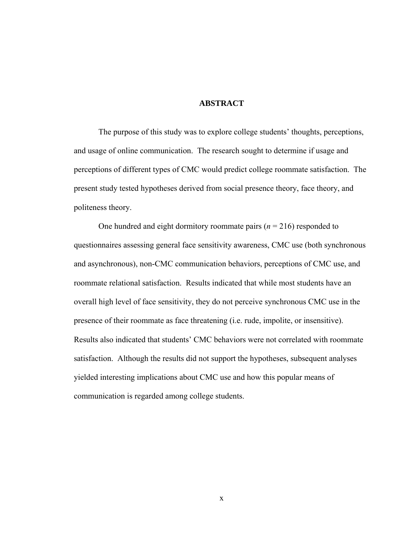## **ABSTRACT**

The purpose of this study was to explore college students' thoughts, perceptions, and usage of online communication. The research sought to determine if usage and perceptions of different types of CMC would predict college roommate satisfaction. The present study tested hypotheses derived from social presence theory, face theory, and politeness theory.

One hundred and eight dormitory roommate pairs (*n* = 216) responded to questionnaires assessing general face sensitivity awareness, CMC use (both synchronous and asynchronous), non-CMC communication behaviors, perceptions of CMC use, and roommate relational satisfaction. Results indicated that while most students have an overall high level of face sensitivity, they do not perceive synchronous CMC use in the presence of their roommate as face threatening (i.e. rude, impolite, or insensitive). Results also indicated that students' CMC behaviors were not correlated with roommate satisfaction. Although the results did not support the hypotheses, subsequent analyses yielded interesting implications about CMC use and how this popular means of communication is regarded among college students.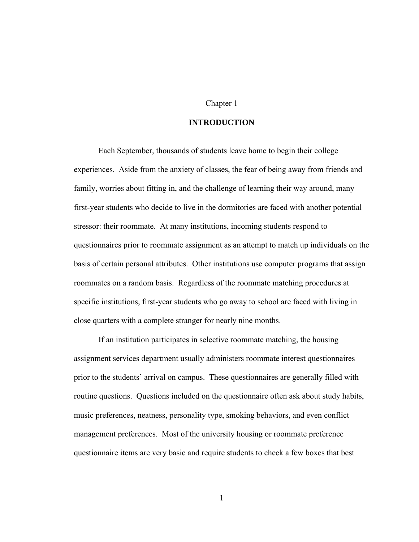## Chapter 1

## **INTRODUCTION**

Each September, thousands of students leave home to begin their college experiences. Aside from the anxiety of classes, the fear of being away from friends and family, worries about fitting in, and the challenge of learning their way around, many first-year students who decide to live in the dormitories are faced with another potential stressor: their roommate. At many institutions, incoming students respond to questionnaires prior to roommate assignment as an attempt to match up individuals on the basis of certain personal attributes. Other institutions use computer programs that assign roommates on a random basis. Regardless of the roommate matching procedures at specific institutions, first-year students who go away to school are faced with living in close quarters with a complete stranger for nearly nine months.

If an institution participates in selective roommate matching, the housing assignment services department usually administers roommate interest questionnaires prior to the students' arrival on campus. These questionnaires are generally filled with routine questions. Questions included on the questionnaire often ask about study habits, music preferences, neatness, personality type, smoking behaviors, and even conflict management preferences. Most of the university housing or roommate preference questionnaire items are very basic and require students to check a few boxes that best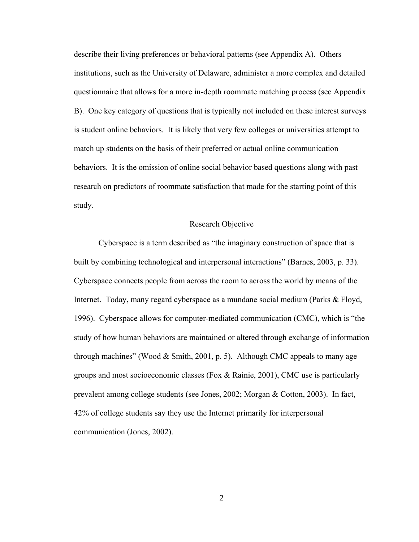describe their living preferences or behavioral patterns (see Appendix A). Others institutions, such as the University of Delaware, administer a more complex and detailed questionnaire that allows for a more in-depth roommate matching process (see Appendix B). One key category of questions that is typically not included on these interest surveys is student online behaviors. It is likely that very few colleges or universities attempt to match up students on the basis of their preferred or actual online communication behaviors. It is the omission of online social behavior based questions along with past research on predictors of roommate satisfaction that made for the starting point of this study.

#### Research Objective

Cyberspace is a term described as "the imaginary construction of space that is built by combining technological and interpersonal interactions" (Barnes, 2003, p. 33). Cyberspace connects people from across the room to across the world by means of the Internet. Today, many regard cyberspace as a mundane social medium (Parks & Floyd, 1996). Cyberspace allows for computer-mediated communication (CMC), which is "the study of how human behaviors are maintained or altered through exchange of information through machines" (Wood  $& Smith, 2001, p. 5$ ). Although CMC appeals to many age groups and most socioeconomic classes (Fox  $\&$  Rainie, 2001), CMC use is particularly prevalent among college students (see Jones, 2002; Morgan & Cotton, 2003). In fact, 42% of college students say they use the Internet primarily for interpersonal communication (Jones, 2002).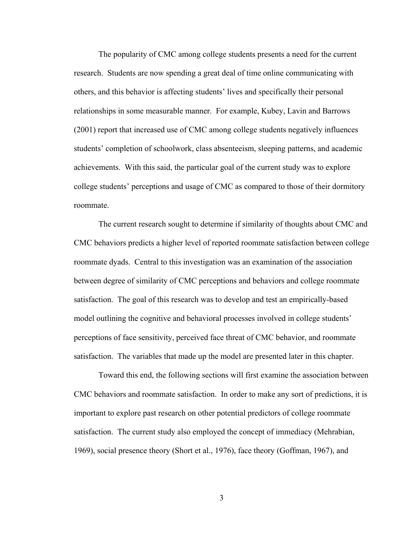The popularity of CMC among college students presents a need for the current research. Students are now spending a great deal of time online communicating with others, and this behavior is affecting students' lives and specifically their personal relationships in some measurable manner. For example, Kubey, Lavin and Barrows (2001) report that increased use of CMC among college students negatively influences students' completion of schoolwork, class absenteeism, sleeping patterns, and academic achievements. With this said, the particular goal of the current study was to explore college students' perceptions and usage of CMC as compared to those of their dormitory roommate.

The current research sought to determine if similarity of thoughts about CMC and CMC behaviors predicts a higher level of reported roommate satisfaction between college roommate dyads. Central to this investigation was an examination of the association between degree of similarity of CMC perceptions and behaviors and college roommate satisfaction. The goal of this research was to develop and test an empirically-based model outlining the cognitive and behavioral processes involved in college students' perceptions of face sensitivity, perceived face threat of CMC behavior, and roommate satisfaction. The variables that made up the model are presented later in this chapter.

Toward this end, the following sections will first examine the association between CMC behaviors and roommate satisfaction. In order to make any sort of predictions, it is important to explore past research on other potential predictors of college roommate satisfaction. The current study also employed the concept of immediacy (Mehrabian, 1969), social presence theory (Short et al., 1976), face theory (Goffman, 1967), and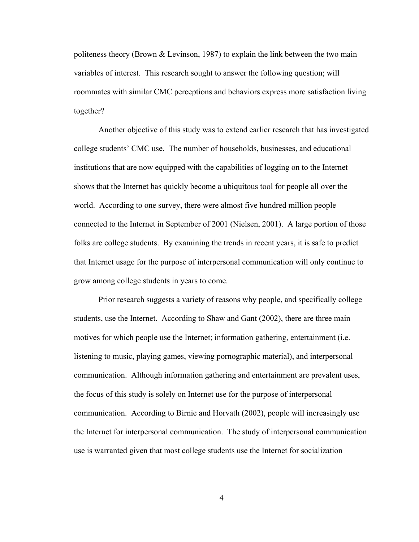politeness theory (Brown & Levinson, 1987) to explain the link between the two main variables of interest. This research sought to answer the following question; will roommates with similar CMC perceptions and behaviors express more satisfaction living together?

Another objective of this study was to extend earlier research that has investigated college students' CMC use. The number of households, businesses, and educational institutions that are now equipped with the capabilities of logging on to the Internet shows that the Internet has quickly become a ubiquitous tool for people all over the world. According to one survey, there were almost five hundred million people connected to the Internet in September of 2001 (Nielsen, 2001). A large portion of those folks are college students. By examining the trends in recent years, it is safe to predict that Internet usage for the purpose of interpersonal communication will only continue to grow among college students in years to come.

Prior research suggests a variety of reasons why people, and specifically college students, use the Internet. According to Shaw and Gant (2002), there are three main motives for which people use the Internet; information gathering, entertainment (i.e. listening to music, playing games, viewing pornographic material), and interpersonal communication. Although information gathering and entertainment are prevalent uses, the focus of this study is solely on Internet use for the purpose of interpersonal communication. According to Birnie and Horvath (2002), people will increasingly use the Internet for interpersonal communication. The study of interpersonal communication use is warranted given that most college students use the Internet for socialization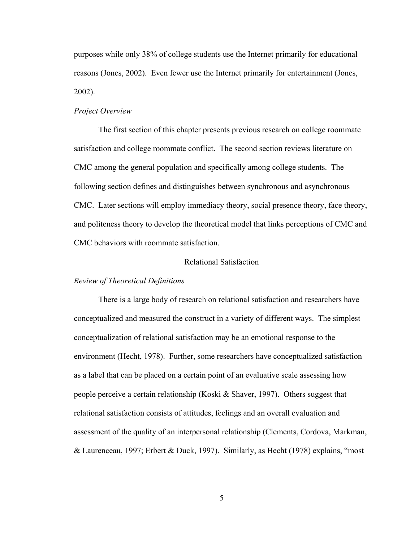purposes while only 38% of college students use the Internet primarily for educational reasons (Jones, 2002). Even fewer use the Internet primarily for entertainment (Jones, 2002).

## *Project Overview*

 The first section of this chapter presents previous research on college roommate satisfaction and college roommate conflict. The second section reviews literature on CMC among the general population and specifically among college students. The following section defines and distinguishes between synchronous and asynchronous CMC. Later sections will employ immediacy theory, social presence theory, face theory, and politeness theory to develop the theoretical model that links perceptions of CMC and CMC behaviors with roommate satisfaction.

## Relational Satisfaction

## *Review of Theoretical Definitions*

There is a large body of research on relational satisfaction and researchers have conceptualized and measured the construct in a variety of different ways. The simplest conceptualization of relational satisfaction may be an emotional response to the environment (Hecht, 1978). Further, some researchers have conceptualized satisfaction as a label that can be placed on a certain point of an evaluative scale assessing how people perceive a certain relationship (Koski  $\&$  Shaver, 1997). Others suggest that relational satisfaction consists of attitudes, feelings and an overall evaluation and assessment of the quality of an interpersonal relationship (Clements, Cordova, Markman, & Laurenceau, 1997; Erbert & Duck, 1997). Similarly, as Hecht (1978) explains, "most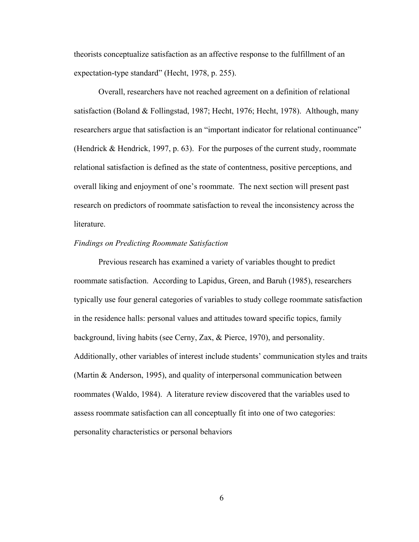theorists conceptualize satisfaction as an affective response to the fulfillment of an expectation-type standard" (Hecht, 1978, p. 255).

 Overall, researchers have not reached agreement on a definition of relational satisfaction (Boland & Follingstad, 1987; Hecht, 1976; Hecht, 1978). Although, many researchers argue that satisfaction is an "important indicator for relational continuance" (Hendrick & Hendrick, 1997, p. 63). For the purposes of the current study, roommate relational satisfaction is defined as the state of contentness, positive perceptions, and overall liking and enjoyment of one's roommate. The next section will present past research on predictors of roommate satisfaction to reveal the inconsistency across the **literature** 

## *Findings on Predicting Roommate Satisfaction*

Previous research has examined a variety of variables thought to predict roommate satisfaction. According to Lapidus, Green, and Baruh (1985), researchers typically use four general categories of variables to study college roommate satisfaction in the residence halls: personal values and attitudes toward specific topics, family background, living habits (see Cerny, Zax, & Pierce, 1970), and personality. Additionally, other variables of interest include students' communication styles and traits (Martin & Anderson, 1995), and quality of interpersonal communication between roommates (Waldo, 1984). A literature review discovered that the variables used to assess roommate satisfaction can all conceptually fit into one of two categories: personality characteristics or personal behaviors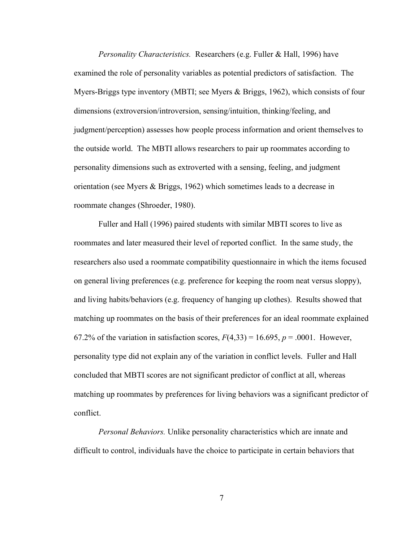*Personality Characteristics.* Researchers (e.g. Fuller & Hall, 1996) have examined the role of personality variables as potential predictors of satisfaction. The Myers-Briggs type inventory (MBTI; see Myers & Briggs, 1962), which consists of four dimensions (extroversion/introversion, sensing/intuition, thinking/feeling, and judgment/perception) assesses how people process information and orient themselves to the outside world. The MBTI allows researchers to pair up roommates according to personality dimensions such as extroverted with a sensing, feeling, and judgment orientation (see Myers & Briggs, 1962) which sometimes leads to a decrease in roommate changes (Shroeder, 1980).

Fuller and Hall (1996) paired students with similar MBTI scores to live as roommates and later measured their level of reported conflict. In the same study, the researchers also used a roommate compatibility questionnaire in which the items focused on general living preferences (e.g. preference for keeping the room neat versus sloppy), and living habits/behaviors (e.g. frequency of hanging up clothes). Results showed that matching up roommates on the basis of their preferences for an ideal roommate explained 67.2% of the variation in satisfaction scores,  $F(4,33) = 16.695$ ,  $p = .0001$ . However, personality type did not explain any of the variation in conflict levels. Fuller and Hall concluded that MBTI scores are not significant predictor of conflict at all, whereas matching up roommates by preferences for living behaviors was a significant predictor of conflict.

*Personal Behaviors.* Unlike personality characteristics which are innate and difficult to control, individuals have the choice to participate in certain behaviors that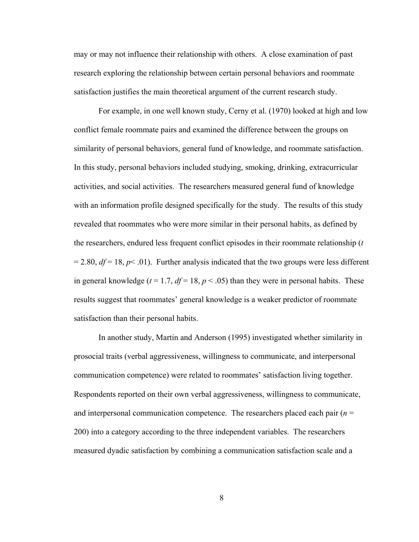may or may not influence their relationship with others. A close examination of past research exploring the relationship between certain personal behaviors and roommate satisfaction justifies the main theoretical argument of the current research study.

For example, in one well known study, Cerny et al. (1970) looked at high and low conflict female roommate pairs and examined the difference between the groups on similarity of personal behaviors, general fund of knowledge, and roommate satisfaction. In this study, personal behaviors included studying, smoking, drinking, extracurricular activities, and social activities. The researchers measured general fund of knowledge with an information profile designed specifically for the study. The results of this study revealed that roommates who were more similar in their personal habits, as defined by the researchers, endured less frequent conflict episodes in their roommate relationship (*t*  $= 2.80$ ,  $df = 18$ ,  $p \le 0.01$ ). Further analysis indicated that the two groups were less different in general knowledge ( $t = 1.7$ ,  $df = 18$ ,  $p < .05$ ) than they were in personal habits. These results suggest that roommates' general knowledge is a weaker predictor of roommate satisfaction than their personal habits.

In another study, Martin and Anderson (1995) investigated whether similarity in prosocial traits (verbal aggressiveness, willingness to communicate, and interpersonal communication competence) were related to roommates' satisfaction living together. Respondents reported on their own verbal aggressiveness, willingness to communicate, and interpersonal communication competence. The researchers placed each pair (*n* = 200) into a category according to the three independent variables. The researchers measured dyadic satisfaction by combining a communication satisfaction scale and a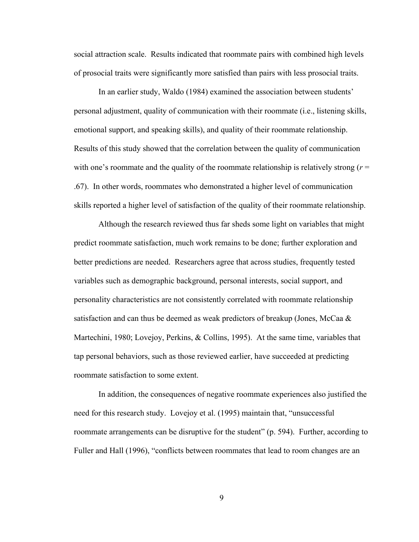social attraction scale. Results indicated that roommate pairs with combined high levels of prosocial traits were significantly more satisfied than pairs with less prosocial traits.

In an earlier study, Waldo (1984) examined the association between students' personal adjustment, quality of communication with their roommate (i.e., listening skills, emotional support, and speaking skills), and quality of their roommate relationship. Results of this study showed that the correlation between the quality of communication with one's roommate and the quality of the roommate relationship is relatively strong  $(r =$ .67). In other words, roommates who demonstrated a higher level of communication skills reported a higher level of satisfaction of the quality of their roommate relationship.

Although the research reviewed thus far sheds some light on variables that might predict roommate satisfaction, much work remains to be done; further exploration and better predictions are needed. Researchers agree that across studies, frequently tested variables such as demographic background, personal interests, social support, and personality characteristics are not consistently correlated with roommate relationship satisfaction and can thus be deemed as weak predictors of breakup (Jones, McCaa & Martechini, 1980; Lovejoy, Perkins, & Collins, 1995). At the same time, variables that tap personal behaviors, such as those reviewed earlier, have succeeded at predicting roommate satisfaction to some extent.

In addition, the consequences of negative roommate experiences also justified the need for this research study. Lovejoy et al. (1995) maintain that, "unsuccessful roommate arrangements can be disruptive for the student" (p. 594). Further, according to Fuller and Hall (1996), "conflicts between roommates that lead to room changes are an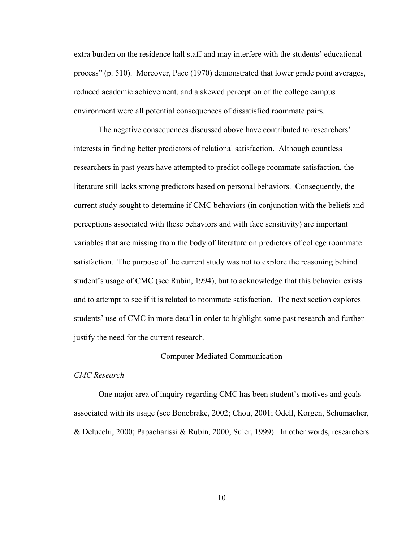extra burden on the residence hall staff and may interfere with the students' educational process" (p. 510). Moreover, Pace (1970) demonstrated that lower grade point averages, reduced academic achievement, and a skewed perception of the college campus environment were all potential consequences of dissatisfied roommate pairs.

The negative consequences discussed above have contributed to researchers' interests in finding better predictors of relational satisfaction. Although countless researchers in past years have attempted to predict college roommate satisfaction, the literature still lacks strong predictors based on personal behaviors. Consequently, the current study sought to determine if CMC behaviors (in conjunction with the beliefs and perceptions associated with these behaviors and with face sensitivity) are important variables that are missing from the body of literature on predictors of college roommate satisfaction. The purpose of the current study was not to explore the reasoning behind student's usage of CMC (see Rubin, 1994), but to acknowledge that this behavior exists and to attempt to see if it is related to roommate satisfaction. The next section explores students' use of CMC in more detail in order to highlight some past research and further justify the need for the current research.

#### Computer-Mediated Communication

### *CMC Research*

One major area of inquiry regarding CMC has been student's motives and goals associated with its usage (see Bonebrake, 2002; Chou, 2001; Odell, Korgen, Schumacher, & Delucchi, 2000; Papacharissi & Rubin, 2000; Suler, 1999). In other words, researchers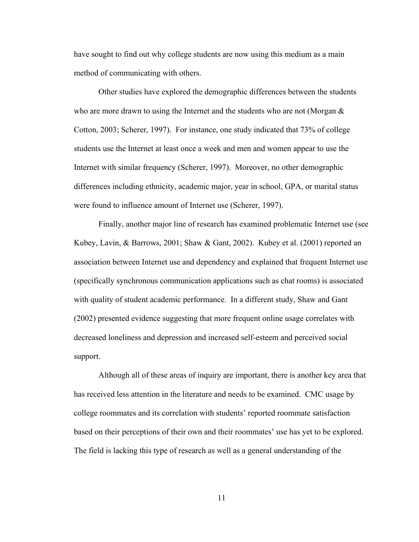have sought to find out why college students are now using this medium as a main method of communicating with others.

Other studies have explored the demographic differences between the students who are more drawn to using the Internet and the students who are not (Morgan  $\&$ Cotton, 2003; Scherer, 1997). For instance, one study indicated that 73% of college students use the Internet at least once a week and men and women appear to use the Internet with similar frequency (Scherer, 1997). Moreover, no other demographic differences including ethnicity, academic major, year in school, GPA, or marital status were found to influence amount of Internet use (Scherer, 1997).

Finally, another major line of research has examined problematic Internet use (see Kubey, Lavin, & Barrows, 2001; Shaw & Gant, 2002). Kubey et al. (2001) reported an association between Internet use and dependency and explained that frequent Internet use (specifically synchronous communication applications such as chat rooms) is associated with quality of student academic performance. In a different study, Shaw and Gant (2002) presented evidence suggesting that more frequent online usage correlates with decreased loneliness and depression and increased self-esteem and perceived social support.

Although all of these areas of inquiry are important, there is another key area that has received less attention in the literature and needs to be examined. CMC usage by college roommates and its correlation with students' reported roommate satisfaction based on their perceptions of their own and their roommates' use has yet to be explored. The field is lacking this type of research as well as a general understanding of the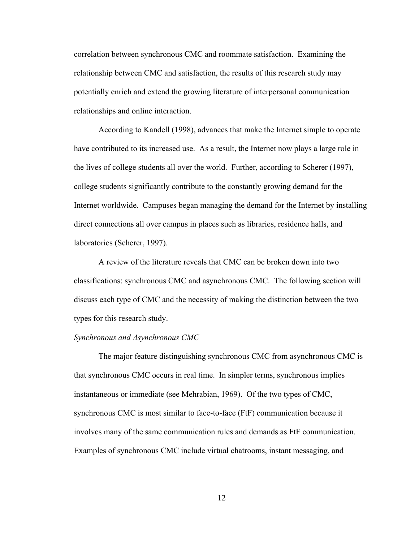correlation between synchronous CMC and roommate satisfaction. Examining the relationship between CMC and satisfaction, the results of this research study may potentially enrich and extend the growing literature of interpersonal communication relationships and online interaction.

According to Kandell (1998), advances that make the Internet simple to operate have contributed to its increased use. As a result, the Internet now plays a large role in the lives of college students all over the world. Further, according to Scherer (1997), college students significantly contribute to the constantly growing demand for the Internet worldwide. Campuses began managing the demand for the Internet by installing direct connections all over campus in places such as libraries, residence halls, and laboratories (Scherer, 1997).

A review of the literature reveals that CMC can be broken down into two classifications: synchronous CMC and asynchronous CMC. The following section will discuss each type of CMC and the necessity of making the distinction between the two types for this research study.

## *Synchronous and Asynchronous CMC*

The major feature distinguishing synchronous CMC from asynchronous CMC is that synchronous CMC occurs in real time. In simpler terms, synchronous implies instantaneous or immediate (see Mehrabian, 1969). Of the two types of CMC, synchronous CMC is most similar to face-to-face (FtF) communication because it involves many of the same communication rules and demands as FtF communication. Examples of synchronous CMC include virtual chatrooms, instant messaging, and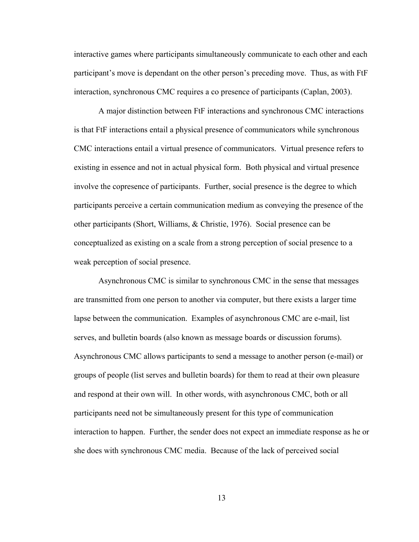interactive games where participants simultaneously communicate to each other and each participant's move is dependant on the other person's preceding move. Thus, as with FtF interaction, synchronous CMC requires a co presence of participants (Caplan, 2003).

A major distinction between FtF interactions and synchronous CMC interactions is that FtF interactions entail a physical presence of communicators while synchronous CMC interactions entail a virtual presence of communicators. Virtual presence refers to existing in essence and not in actual physical form. Both physical and virtual presence involve the copresence of participants. Further, social presence is the degree to which participants perceive a certain communication medium as conveying the presence of the other participants (Short, Williams, & Christie, 1976). Social presence can be conceptualized as existing on a scale from a strong perception of social presence to a weak perception of social presence.

Asynchronous CMC is similar to synchronous CMC in the sense that messages are transmitted from one person to another via computer, but there exists a larger time lapse between the communication. Examples of asynchronous CMC are e-mail, list serves, and bulletin boards (also known as message boards or discussion forums). Asynchronous CMC allows participants to send a message to another person (e-mail) or groups of people (list serves and bulletin boards) for them to read at their own pleasure and respond at their own will. In other words, with asynchronous CMC, both or all participants need not be simultaneously present for this type of communication interaction to happen. Further, the sender does not expect an immediate response as he or she does with synchronous CMC media. Because of the lack of perceived social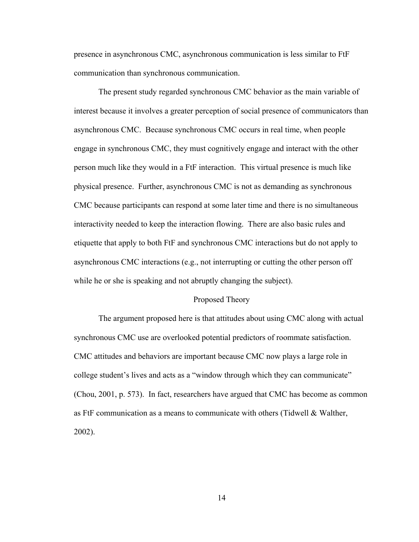presence in asynchronous CMC, asynchronous communication is less similar to FtF communication than synchronous communication.

The present study regarded synchronous CMC behavior as the main variable of interest because it involves a greater perception of social presence of communicators than asynchronous CMC. Because synchronous CMC occurs in real time, when people engage in synchronous CMC, they must cognitively engage and interact with the other person much like they would in a FtF interaction. This virtual presence is much like physical presence. Further, asynchronous CMC is not as demanding as synchronous CMC because participants can respond at some later time and there is no simultaneous interactivity needed to keep the interaction flowing. There are also basic rules and etiquette that apply to both FtF and synchronous CMC interactions but do not apply to asynchronous CMC interactions (e.g., not interrupting or cutting the other person off while he or she is speaking and not abruptly changing the subject).

#### Proposed Theory

 The argument proposed here is that attitudes about using CMC along with actual synchronous CMC use are overlooked potential predictors of roommate satisfaction. CMC attitudes and behaviors are important because CMC now plays a large role in college student's lives and acts as a "window through which they can communicate" (Chou, 2001, p. 573). In fact, researchers have argued that CMC has become as common as FtF communication as a means to communicate with others (Tidwell & Walther, 2002).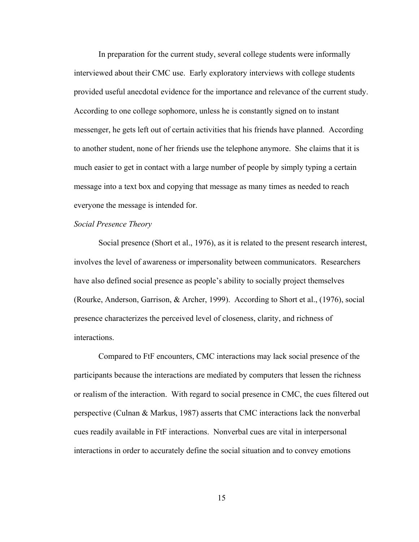In preparation for the current study, several college students were informally interviewed about their CMC use. Early exploratory interviews with college students provided useful anecdotal evidence for the importance and relevance of the current study. According to one college sophomore, unless he is constantly signed on to instant messenger, he gets left out of certain activities that his friends have planned. According to another student, none of her friends use the telephone anymore. She claims that it is much easier to get in contact with a large number of people by simply typing a certain message into a text box and copying that message as many times as needed to reach everyone the message is intended for.

## *Social Presence Theory*

Social presence (Short et al., 1976), as it is related to the present research interest, involves the level of awareness or impersonality between communicators. Researchers have also defined social presence as people's ability to socially project themselves (Rourke, Anderson, Garrison, & Archer, 1999). According to Short et al., (1976), social presence characterizes the perceived level of closeness, clarity, and richness of interactions.

Compared to FtF encounters, CMC interactions may lack social presence of the participants because the interactions are mediated by computers that lessen the richness or realism of the interaction. With regard to social presence in CMC, the cues filtered out perspective (Culnan & Markus, 1987) asserts that CMC interactions lack the nonverbal cues readily available in FtF interactions. Nonverbal cues are vital in interpersonal interactions in order to accurately define the social situation and to convey emotions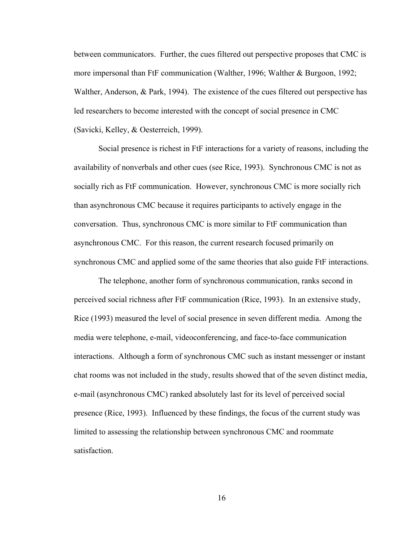between communicators. Further, the cues filtered out perspective proposes that CMC is more impersonal than FtF communication (Walther, 1996; Walther & Burgoon, 1992; Walther, Anderson, & Park, 1994). The existence of the cues filtered out perspective has led researchers to become interested with the concept of social presence in CMC (Savicki, Kelley, & Oesterreich, 1999).

Social presence is richest in FtF interactions for a variety of reasons, including the availability of nonverbals and other cues (see Rice, 1993). Synchronous CMC is not as socially rich as FtF communication. However, synchronous CMC is more socially rich than asynchronous CMC because it requires participants to actively engage in the conversation. Thus, synchronous CMC is more similar to FtF communication than asynchronous CMC. For this reason, the current research focused primarily on synchronous CMC and applied some of the same theories that also guide FtF interactions.

The telephone, another form of synchronous communication, ranks second in perceived social richness after FtF communication (Rice, 1993). In an extensive study, Rice (1993) measured the level of social presence in seven different media. Among the media were telephone, e-mail, videoconferencing, and face-to-face communication interactions. Although a form of synchronous CMC such as instant messenger or instant chat rooms was not included in the study, results showed that of the seven distinct media, e-mail (asynchronous CMC) ranked absolutely last for its level of perceived social presence (Rice, 1993). Influenced by these findings, the focus of the current study was limited to assessing the relationship between synchronous CMC and roommate satisfaction.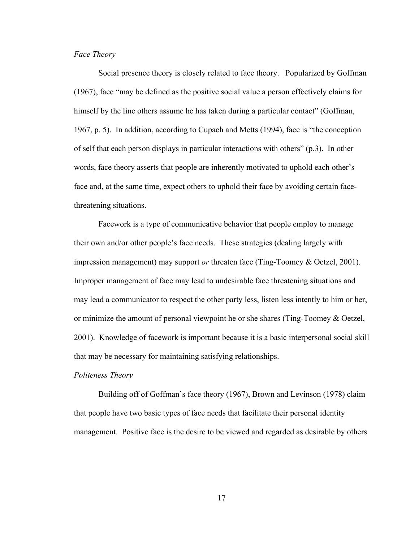## *Face Theory*

Social presence theory is closely related to face theory. Popularized by Goffman (1967), face "may be defined as the positive social value a person effectively claims for himself by the line others assume he has taken during a particular contact" (Goffman, 1967, p. 5). In addition, according to Cupach and Metts (1994), face is "the conception of self that each person displays in particular interactions with others" (p.3). In other words, face theory asserts that people are inherently motivated to uphold each other's face and, at the same time, expect others to uphold their face by avoiding certain facethreatening situations.

Facework is a type of communicative behavior that people employ to manage their own and/or other people's face needs. These strategies (dealing largely with impression management) may support *or* threaten face (Ting-Toomey & Oetzel, 2001). Improper management of face may lead to undesirable face threatening situations and may lead a communicator to respect the other party less, listen less intently to him or her, or minimize the amount of personal viewpoint he or she shares (Ting-Toomey & Oetzel, 2001). Knowledge of facework is important because it is a basic interpersonal social skill that may be necessary for maintaining satisfying relationships.

## *Politeness Theory*

Building off of Goffman's face theory (1967), Brown and Levinson (1978) claim that people have two basic types of face needs that facilitate their personal identity management. Positive face is the desire to be viewed and regarded as desirable by others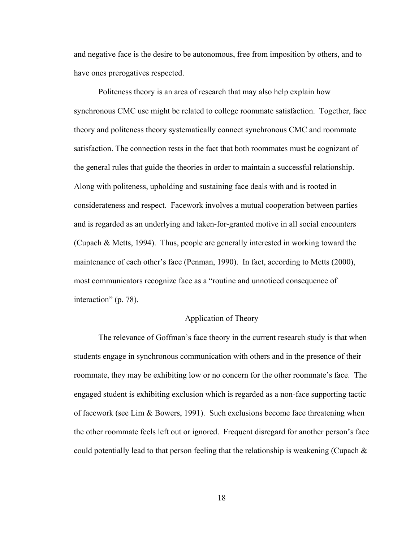and negative face is the desire to be autonomous, free from imposition by others, and to have ones prerogatives respected.

Politeness theory is an area of research that may also help explain how synchronous CMC use might be related to college roommate satisfaction. Together, face theory and politeness theory systematically connect synchronous CMC and roommate satisfaction. The connection rests in the fact that both roommates must be cognizant of the general rules that guide the theories in order to maintain a successful relationship. Along with politeness, upholding and sustaining face deals with and is rooted in considerateness and respect. Facework involves a mutual cooperation between parties and is regarded as an underlying and taken-for-granted motive in all social encounters (Cupach & Metts, 1994). Thus, people are generally interested in working toward the maintenance of each other's face (Penman, 1990). In fact, according to Metts (2000), most communicators recognize face as a "routine and unnoticed consequence of interaction" (p. 78).

## Application of Theory

The relevance of Goffman's face theory in the current research study is that when students engage in synchronous communication with others and in the presence of their roommate, they may be exhibiting low or no concern for the other roommate's face. The engaged student is exhibiting exclusion which is regarded as a non-face supporting tactic of facework (see Lim & Bowers, 1991). Such exclusions become face threatening when the other roommate feels left out or ignored. Frequent disregard for another person's face could potentially lead to that person feeling that the relationship is weakening (Cupach  $\&$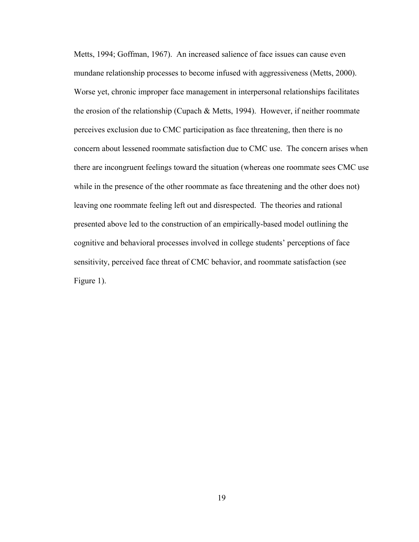Metts, 1994; Goffman, 1967). An increased salience of face issues can cause even mundane relationship processes to become infused with aggressiveness (Metts, 2000). Worse yet, chronic improper face management in interpersonal relationships facilitates the erosion of the relationship (Cupach & Metts, 1994). However, if neither roommate perceives exclusion due to CMC participation as face threatening, then there is no concern about lessened roommate satisfaction due to CMC use. The concern arises when there are incongruent feelings toward the situation (whereas one roommate sees CMC use while in the presence of the other roommate as face threatening and the other does not) leaving one roommate feeling left out and disrespected. The theories and rational presented above led to the construction of an empirically-based model outlining the cognitive and behavioral processes involved in college students' perceptions of face sensitivity, perceived face threat of CMC behavior, and roommate satisfaction (see Figure 1).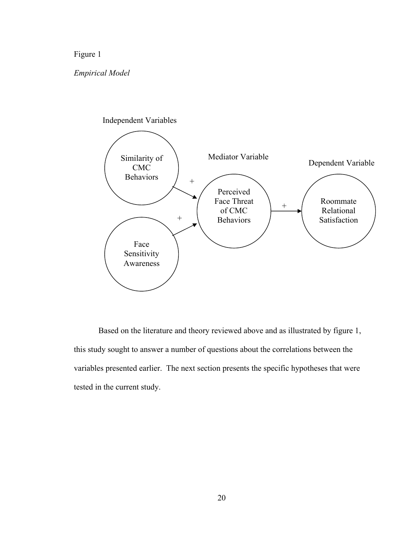## Figure 1

## *Empirical Model*



Based on the literature and theory reviewed above and as illustrated by figure 1, this study sought to answer a number of questions about the correlations between the variables presented earlier. The next section presents the specific hypotheses that were tested in the current study.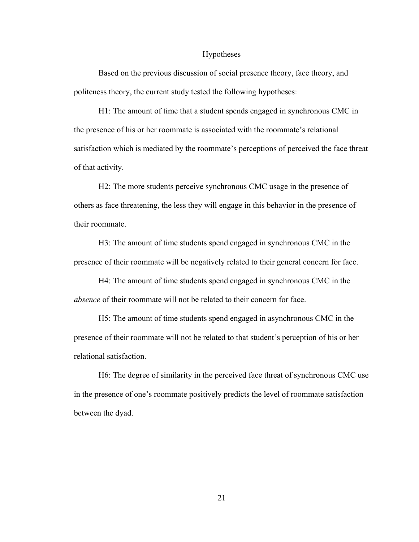#### Hypotheses

Based on the previous discussion of social presence theory, face theory, and politeness theory, the current study tested the following hypotheses:

H1: The amount of time that a student spends engaged in synchronous CMC in the presence of his or her roommate is associated with the roommate's relational satisfaction which is mediated by the roommate's perceptions of perceived the face threat of that activity.

H2: The more students perceive synchronous CMC usage in the presence of others as face threatening, the less they will engage in this behavior in the presence of their roommate.

H3: The amount of time students spend engaged in synchronous CMC in the presence of their roommate will be negatively related to their general concern for face.

H4: The amount of time students spend engaged in synchronous CMC in the *absence* of their roommate will not be related to their concern for face.

H5: The amount of time students spend engaged in asynchronous CMC in the presence of their roommate will not be related to that student's perception of his or her relational satisfaction.

H6: The degree of similarity in the perceived face threat of synchronous CMC use in the presence of one's roommate positively predicts the level of roommate satisfaction between the dyad.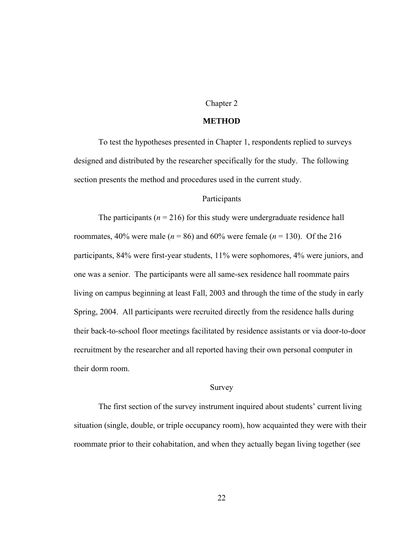## Chapter 2

#### **METHOD**

To test the hypotheses presented in Chapter 1, respondents replied to surveys designed and distributed by the researcher specifically for the study. The following section presents the method and procedures used in the current study.

### Participants

The participants ( $n = 216$ ) for this study were undergraduate residence hall roommates, 40% were male ( $n = 86$ ) and 60% were female ( $n = 130$ ). Of the 216 participants, 84% were first-year students, 11% were sophomores, 4% were juniors, and one was a senior. The participants were all same-sex residence hall roommate pairs living on campus beginning at least Fall, 2003 and through the time of the study in early Spring, 2004. All participants were recruited directly from the residence halls during their back-to-school floor meetings facilitated by residence assistants or via door-to-door recruitment by the researcher and all reported having their own personal computer in their dorm room.

## Survey

The first section of the survey instrument inquired about students' current living situation (single, double, or triple occupancy room), how acquainted they were with their roommate prior to their cohabitation, and when they actually began living together (see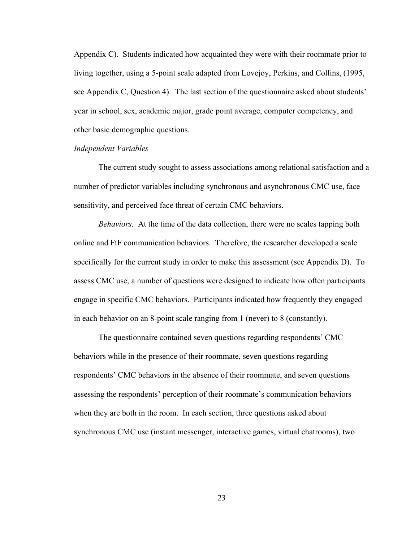Appendix C). Students indicated how acquainted they were with their roommate prior to living together, using a 5-point scale adapted from Lovejoy, Perkins, and Collins, (1995, see Appendix C, Question 4). The last section of the questionnaire asked about students' year in school, sex, academic major, grade point average, computer competency, and other basic demographic questions.

## *Independent Variables*

The current study sought to assess associations among relational satisfaction and a number of predictor variables including synchronous and asynchronous CMC use, face sensitivity, and perceived face threat of certain CMC behaviors.

*Behaviors.* At the time of the data collection, there were no scales tapping both online and FtF communication behaviors. Therefore, the researcher developed a scale specifically for the current study in order to make this assessment (see Appendix D). To assess CMC use, a number of questions were designed to indicate how often participants engage in specific CMC behaviors. Participants indicated how frequently they engaged in each behavior on an 8-point scale ranging from 1 (never) to 8 (constantly).

The questionnaire contained seven questions regarding respondents' CMC behaviors while in the presence of their roommate, seven questions regarding respondents' CMC behaviors in the absence of their roommate, and seven questions assessing the respondents' perception of their roommate's communication behaviors when they are both in the room. In each section, three questions asked about synchronous CMC use (instant messenger, interactive games, virtual chatrooms), two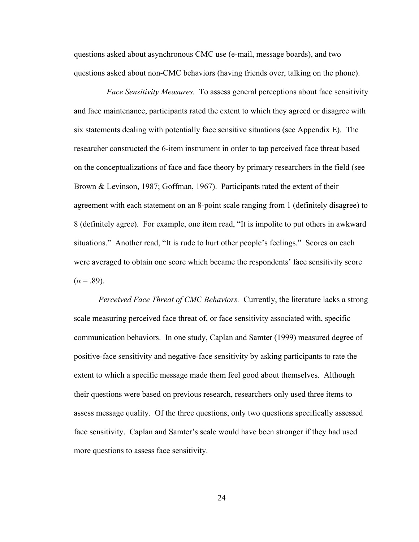questions asked about asynchronous CMC use (e-mail, message boards), and two questions asked about non-CMC behaviors (having friends over, talking on the phone).

 *Face Sensitivity Measures.* To assess general perceptions about face sensitivity and face maintenance, participants rated the extent to which they agreed or disagree with six statements dealing with potentially face sensitive situations (see Appendix E). The researcher constructed the 6-item instrument in order to tap perceived face threat based on the conceptualizations of face and face theory by primary researchers in the field (see Brown & Levinson, 1987; Goffman, 1967). Participants rated the extent of their agreement with each statement on an 8-point scale ranging from 1 (definitely disagree) to 8 (definitely agree). For example, one item read, "It is impolite to put others in awkward situations." Another read, "It is rude to hurt other people's feelings." Scores on each were averaged to obtain one score which became the respondents' face sensitivity score  $(a = .89)$ .

*Perceived Face Threat of CMC Behaviors.* Currently, the literature lacks a strong scale measuring perceived face threat of, or face sensitivity associated with, specific communication behaviors. In one study, Caplan and Samter (1999) measured degree of positive-face sensitivity and negative-face sensitivity by asking participants to rate the extent to which a specific message made them feel good about themselves. Although their questions were based on previous research, researchers only used three items to assess message quality. Of the three questions, only two questions specifically assessed face sensitivity. Caplan and Samter's scale would have been stronger if they had used more questions to assess face sensitivity.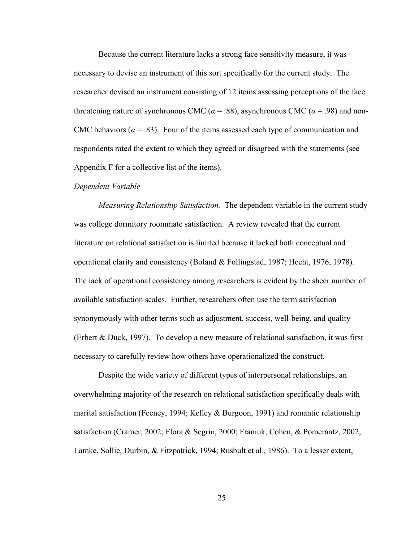Because the current literature lacks a strong face sensitivity measure, it was necessary to devise an instrument of this sort specifically for the current study. The researcher devised an instrument consisting of 12 items assessing perceptions of the face threatening nature of synchronous CMC ( $\alpha$  = .88), asynchronous CMC ( $\alpha$  = .98) and non-CMC behaviors ( $\alpha$  = .83). Four of the items assessed each type of communication and respondents rated the extent to which they agreed or disagreed with the statements (see Appendix F for a collective list of the items).

#### *Dependent Variable*

*Measuring Relationship Satisfaction.* The dependent variable in the current study was college dormitory roommate satisfaction. A review revealed that the current literature on relational satisfaction is limited because it lacked both conceptual and operational clarity and consistency (Boland & Follingstad, 1987; Hecht, 1976, 1978). The lack of operational consistency among researchers is evident by the sheer number of available satisfaction scales. Further, researchers often use the term satisfaction synonymously with other terms such as adjustment, success, well-being, and quality (Erbert & Duck, 1997). To develop a new measure of relational satisfaction, it was first necessary to carefully review how others have operationalized the construct.

Despite the wide variety of different types of interpersonal relationships, an overwhelming majority of the research on relational satisfaction specifically deals with marital satisfaction (Feeney, 1994; Kelley & Burgoon, 1991) and romantic relationship satisfaction (Cramer, 2002; Flora & Segrin, 2000; Franiuk, Cohen, & Pomerantz, 2002; Lamke, Sollie, Durbin, & Fitzpatrick, 1994; Rusbult et al., 1986). To a lesser extent,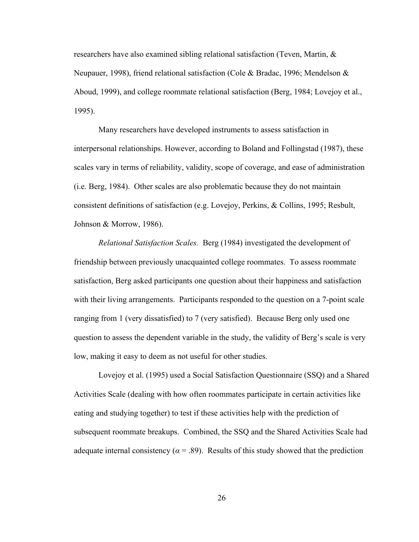researchers have also examined sibling relational satisfaction (Teven, Martin, & Neupauer, 1998), friend relational satisfaction (Cole & Bradac, 1996; Mendelson  $\&$ Aboud, 1999), and college roommate relational satisfaction (Berg, 1984; Lovejoy et al., 1995).

Many researchers have developed instruments to assess satisfaction in interpersonal relationships. However, according to Boland and Follingstad (1987), these scales vary in terms of reliability, validity, scope of coverage, and ease of administration (i.e. Berg, 1984). Other scales are also problematic because they do not maintain consistent definitions of satisfaction (e.g. Lovejoy, Perkins, & Collins, 1995; Resbult, Johnson & Morrow, 1986).

*Relational Satisfaction Scales.* Berg (1984) investigated the development of friendship between previously unacquainted college roommates. To assess roommate satisfaction, Berg asked participants one question about their happiness and satisfaction with their living arrangements. Participants responded to the question on a 7-point scale ranging from 1 (very dissatisfied) to 7 (very satisfied). Because Berg only used one question to assess the dependent variable in the study, the validity of Berg's scale is very low, making it easy to deem as not useful for other studies.

Lovejoy et al. (1995) used a Social Satisfaction Questionnaire (SSQ) and a Shared Activities Scale (dealing with how often roommates participate in certain activities like eating and studying together) to test if these activities help with the prediction of subsequent roommate breakups. Combined, the SSQ and the Shared Activities Scale had adequate internal consistency ( $\alpha$  = .89). Results of this study showed that the prediction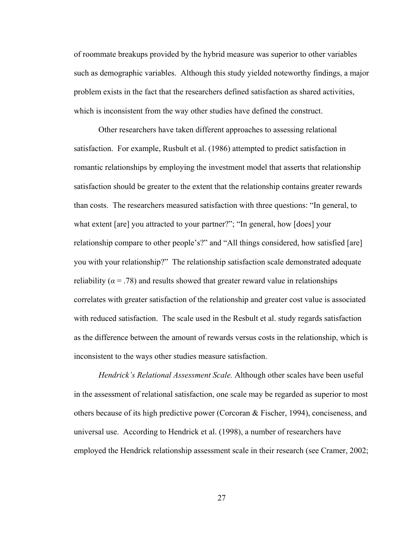of roommate breakups provided by the hybrid measure was superior to other variables such as demographic variables. Although this study yielded noteworthy findings, a major problem exists in the fact that the researchers defined satisfaction as shared activities, which is inconsistent from the way other studies have defined the construct.

Other researchers have taken different approaches to assessing relational satisfaction. For example, Rusbult et al. (1986) attempted to predict satisfaction in romantic relationships by employing the investment model that asserts that relationship satisfaction should be greater to the extent that the relationship contains greater rewards than costs. The researchers measured satisfaction with three questions: "In general, to what extent [are] you attracted to your partner?"; "In general, how [does] your relationship compare to other people's?" and "All things considered, how satisfied [are] you with your relationship?" The relationship satisfaction scale demonstrated adequate reliability ( $\alpha$  = .78) and results showed that greater reward value in relationships correlates with greater satisfaction of the relationship and greater cost value is associated with reduced satisfaction. The scale used in the Resbult et al. study regards satisfaction as the difference between the amount of rewards versus costs in the relationship, which is inconsistent to the ways other studies measure satisfaction.

*Hendrick's Relational Assessment Scale.* Although other scales have been useful in the assessment of relational satisfaction, one scale may be regarded as superior to most others because of its high predictive power (Corcoran  $\&$  Fischer, 1994), conciseness, and universal use. According to Hendrick et al. (1998), a number of researchers have employed the Hendrick relationship assessment scale in their research (see Cramer, 2002;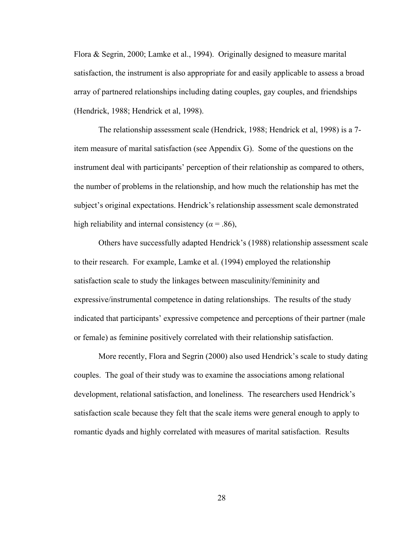Flora & Segrin, 2000; Lamke et al., 1994). Originally designed to measure marital satisfaction, the instrument is also appropriate for and easily applicable to assess a broad array of partnered relationships including dating couples, gay couples, and friendships (Hendrick, 1988; Hendrick et al, 1998).

The relationship assessment scale (Hendrick, 1988; Hendrick et al, 1998) is a 7 item measure of marital satisfaction (see Appendix G). Some of the questions on the instrument deal with participants' perception of their relationship as compared to others, the number of problems in the relationship, and how much the relationship has met the subject's original expectations. Hendrick's relationship assessment scale demonstrated high reliability and internal consistency ( $\alpha$  = .86),

Others have successfully adapted Hendrick's (1988) relationship assessment scale to their research. For example, Lamke et al. (1994) employed the relationship satisfaction scale to study the linkages between masculinity/femininity and expressive/instrumental competence in dating relationships. The results of the study indicated that participants' expressive competence and perceptions of their partner (male or female) as feminine positively correlated with their relationship satisfaction.

More recently, Flora and Segrin (2000) also used Hendrick's scale to study dating couples. The goal of their study was to examine the associations among relational development, relational satisfaction, and loneliness. The researchers used Hendrick's satisfaction scale because they felt that the scale items were general enough to apply to romantic dyads and highly correlated with measures of marital satisfaction. Results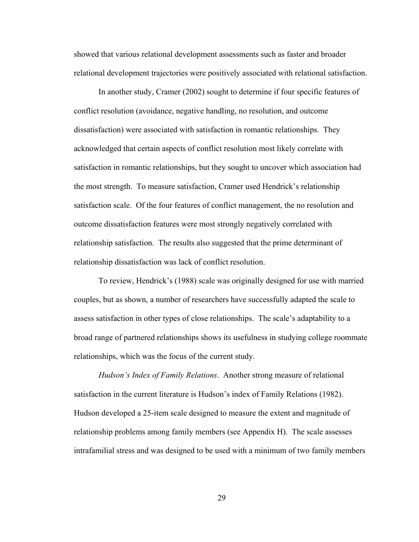showed that various relational development assessments such as faster and broader relational development trajectories were positively associated with relational satisfaction.

In another study, Cramer (2002) sought to determine if four specific features of conflict resolution (avoidance, negative handling, no resolution, and outcome dissatisfaction) were associated with satisfaction in romantic relationships. They acknowledged that certain aspects of conflict resolution most likely correlate with satisfaction in romantic relationships, but they sought to uncover which association had the most strength. To measure satisfaction, Cramer used Hendrick's relationship satisfaction scale. Of the four features of conflict management, the no resolution and outcome dissatisfaction features were most strongly negatively correlated with relationship satisfaction. The results also suggested that the prime determinant of relationship dissatisfaction was lack of conflict resolution.

To review, Hendrick's (1988) scale was originally designed for use with married couples, but as shown, a number of researchers have successfully adapted the scale to assess satisfaction in other types of close relationships. The scale's adaptability to a broad range of partnered relationships shows its usefulness in studying college roommate relationships, which was the focus of the current study.

*Hudson's Index of Family Relations*. Another strong measure of relational satisfaction in the current literature is Hudson's index of Family Relations (1982). Hudson developed a 25-item scale designed to measure the extent and magnitude of relationship problems among family members (see Appendix H). The scale assesses intrafamilial stress and was designed to be used with a minimum of two family members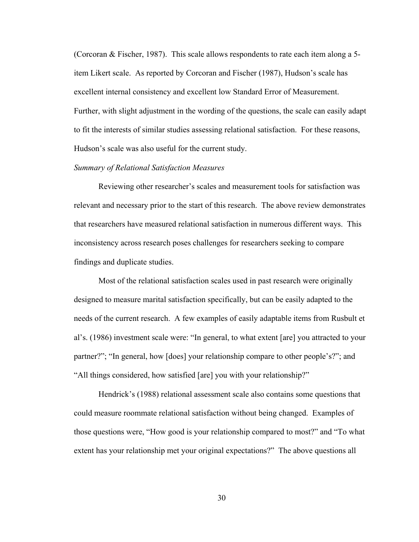(Corcoran & Fischer, 1987). This scale allows respondents to rate each item along a 5 item Likert scale. As reported by Corcoran and Fischer (1987), Hudson's scale has excellent internal consistency and excellent low Standard Error of Measurement. Further, with slight adjustment in the wording of the questions, the scale can easily adapt to fit the interests of similar studies assessing relational satisfaction. For these reasons, Hudson's scale was also useful for the current study.

# *Summary of Relational Satisfaction Measures*

Reviewing other researcher's scales and measurement tools for satisfaction was relevant and necessary prior to the start of this research. The above review demonstrates that researchers have measured relational satisfaction in numerous different ways. This inconsistency across research poses challenges for researchers seeking to compare findings and duplicate studies.

Most of the relational satisfaction scales used in past research were originally designed to measure marital satisfaction specifically, but can be easily adapted to the needs of the current research. A few examples of easily adaptable items from Rusbult et al's. (1986) investment scale were: "In general, to what extent [are] you attracted to your partner?"; "In general, how [does] your relationship compare to other people's?"; and "All things considered, how satisfied [are] you with your relationship?"

Hendrick's (1988) relational assessment scale also contains some questions that could measure roommate relational satisfaction without being changed. Examples of those questions were, "How good is your relationship compared to most?" and "To what extent has your relationship met your original expectations?" The above questions all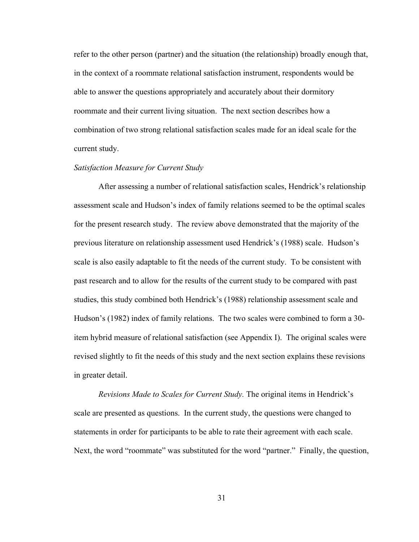refer to the other person (partner) and the situation (the relationship) broadly enough that, in the context of a roommate relational satisfaction instrument, respondents would be able to answer the questions appropriately and accurately about their dormitory roommate and their current living situation. The next section describes how a combination of two strong relational satisfaction scales made for an ideal scale for the current study.

# *Satisfaction Measure for Current Study*

After assessing a number of relational satisfaction scales, Hendrick's relationship assessment scale and Hudson's index of family relations seemed to be the optimal scales for the present research study. The review above demonstrated that the majority of the previous literature on relationship assessment used Hendrick's (1988) scale. Hudson's scale is also easily adaptable to fit the needs of the current study. To be consistent with past research and to allow for the results of the current study to be compared with past studies, this study combined both Hendrick's (1988) relationship assessment scale and Hudson's (1982) index of family relations. The two scales were combined to form a 30 item hybrid measure of relational satisfaction (see Appendix I). The original scales were revised slightly to fit the needs of this study and the next section explains these revisions in greater detail.

*Revisions Made to Scales for Current Study.* The original items in Hendrick's scale are presented as questions. In the current study, the questions were changed to statements in order for participants to be able to rate their agreement with each scale. Next, the word "roommate" was substituted for the word "partner." Finally, the question,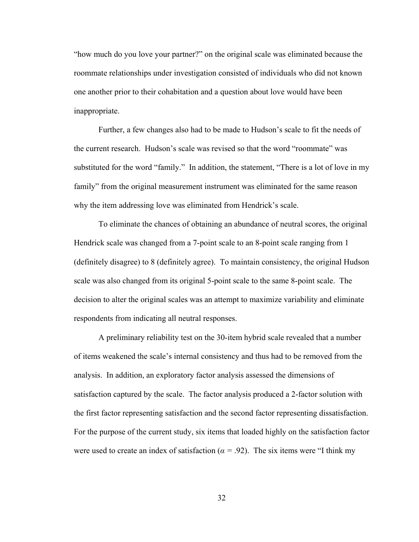"how much do you love your partner?" on the original scale was eliminated because the roommate relationships under investigation consisted of individuals who did not known one another prior to their cohabitation and a question about love would have been inappropriate.

Further, a few changes also had to be made to Hudson's scale to fit the needs of the current research. Hudson's scale was revised so that the word "roommate" was substituted for the word "family." In addition, the statement, "There is a lot of love in my family" from the original measurement instrument was eliminated for the same reason why the item addressing love was eliminated from Hendrick's scale.

To eliminate the chances of obtaining an abundance of neutral scores, the original Hendrick scale was changed from a 7-point scale to an 8-point scale ranging from 1 (definitely disagree) to 8 (definitely agree). To maintain consistency, the original Hudson scale was also changed from its original 5-point scale to the same 8-point scale. The decision to alter the original scales was an attempt to maximize variability and eliminate respondents from indicating all neutral responses.

A preliminary reliability test on the 30-item hybrid scale revealed that a number of items weakened the scale's internal consistency and thus had to be removed from the analysis. In addition, an exploratory factor analysis assessed the dimensions of satisfaction captured by the scale. The factor analysis produced a 2-factor solution with the first factor representing satisfaction and the second factor representing dissatisfaction. For the purpose of the current study, six items that loaded highly on the satisfaction factor were used to create an index of satisfaction ( $\alpha$  = .92). The six items were "I think my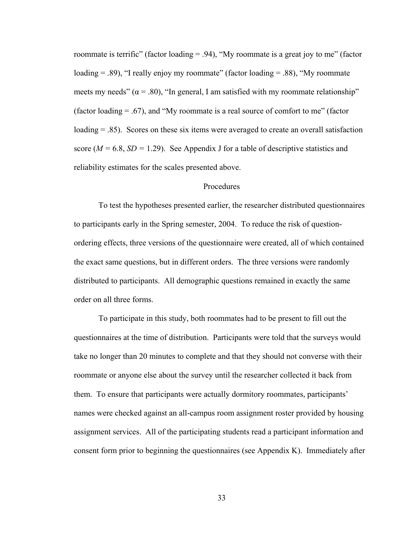roommate is terrific" (factor loading  $= .94$ ), "My roommate is a great joy to me" (factor loading  $= .89$ ), "I really enjoy my roommate" (factor loading  $= .88$ ), "My roommate meets my needs" ( $\alpha$  = .80), "In general, I am satisfied with my roommate relationship" (factor loading  $= .67$ ), and "My roommate is a real source of comfort to me" (factor loading = .85). Scores on these six items were averaged to create an overall satisfaction score ( $M = 6.8$ ,  $SD = 1.29$ ). See Appendix J for a table of descriptive statistics and reliability estimates for the scales presented above.

### Procedures

To test the hypotheses presented earlier, the researcher distributed questionnaires to participants early in the Spring semester, 2004. To reduce the risk of questionordering effects, three versions of the questionnaire were created, all of which contained the exact same questions, but in different orders. The three versions were randomly distributed to participants. All demographic questions remained in exactly the same order on all three forms.

To participate in this study, both roommates had to be present to fill out the questionnaires at the time of distribution. Participants were told that the surveys would take no longer than 20 minutes to complete and that they should not converse with their roommate or anyone else about the survey until the researcher collected it back from them. To ensure that participants were actually dormitory roommates, participants' names were checked against an all-campus room assignment roster provided by housing assignment services. All of the participating students read a participant information and consent form prior to beginning the questionnaires (see Appendix K). Immediately after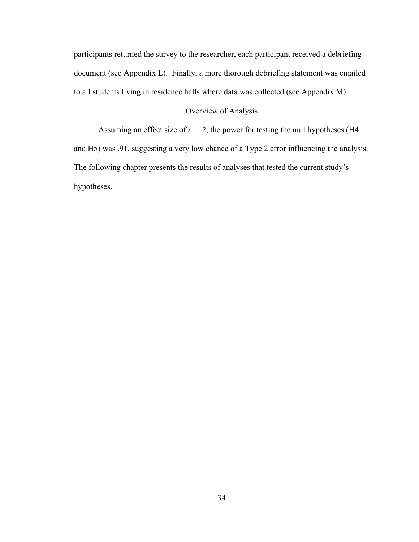participants returned the survey to the researcher, each participant received a debriefing document (see Appendix L). Finally, a more thorough debriefing statement was emailed to all students living in residence halls where data was collected (see Appendix M).

# Overview of Analysis

Assuming an effect size of  $r = 0.2$ , the power for testing the null hypotheses (H4 and H5) was .91, suggesting a very low chance of a Type 2 error influencing the analysis. The following chapter presents the results of analyses that tested the current study's hypotheses.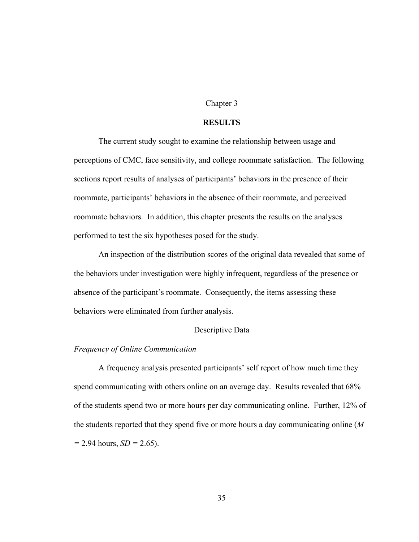### Chapter 3

### **RESULTS**

The current study sought to examine the relationship between usage and perceptions of CMC, face sensitivity, and college roommate satisfaction. The following sections report results of analyses of participants' behaviors in the presence of their roommate, participants' behaviors in the absence of their roommate, and perceived roommate behaviors. In addition, this chapter presents the results on the analyses performed to test the six hypotheses posed for the study.

An inspection of the distribution scores of the original data revealed that some of the behaviors under investigation were highly infrequent, regardless of the presence or absence of the participant's roommate. Consequently, the items assessing these behaviors were eliminated from further analysis.

# Descriptive Data

### *Frequency of Online Communication*

A frequency analysis presented participants' self report of how much time they spend communicating with others online on an average day. Results revealed that 68% of the students spend two or more hours per day communicating online. Further, 12% of the students reported that they spend five or more hours a day communicating online (*M =* 2.94 hours, *SD =* 2.65).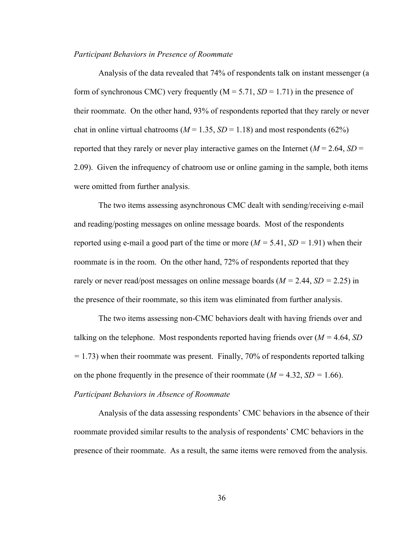### *Participant Behaviors in Presence of Roommate*

Analysis of the data revealed that 74% of respondents talk on instant messenger (a form of synchronous CMC) very frequently  $(M = 5.71, SD = 1.71)$  in the presence of their roommate. On the other hand, 93% of respondents reported that they rarely or never chat in online virtual chatrooms ( $M = 1.35$ ,  $SD = 1.18$ ) and most respondents (62%) reported that they rarely or never play interactive games on the Internet  $(M = 2.64, SD =$ 2.09). Given the infrequency of chatroom use or online gaming in the sample, both items were omitted from further analysis.

The two items assessing asynchronous CMC dealt with sending/receiving e-mail and reading/posting messages on online message boards. Most of the respondents reported using e-mail a good part of the time or more ( $M = 5.41$ ,  $SD = 1.91$ ) when their roommate is in the room. On the other hand, 72% of respondents reported that they rarely or never read/post messages on online message boards (*M =* 2.44, *SD =* 2.25) in the presence of their roommate, so this item was eliminated from further analysis.

The two items assessing non-CMC behaviors dealt with having friends over and talking on the telephone. Most respondents reported having friends over (*M =* 4.64, *SD =* 1.73) when their roommate was present. Finally, 70% of respondents reported talking on the phone frequently in the presence of their roommate (*M =* 4.32, *SD =* 1.66).

## *Participant Behaviors in Absence of Roommate*

Analysis of the data assessing respondents' CMC behaviors in the absence of their roommate provided similar results to the analysis of respondents' CMC behaviors in the presence of their roommate. As a result, the same items were removed from the analysis.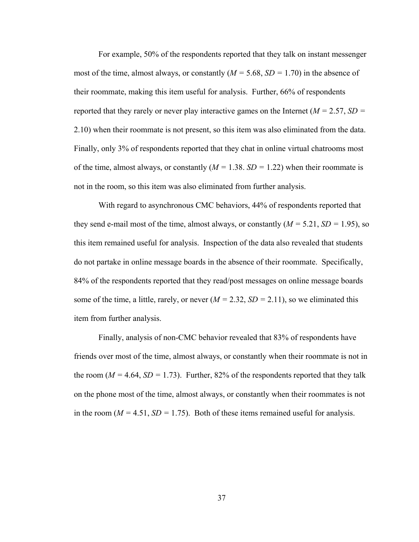For example, 50% of the respondents reported that they talk on instant messenger most of the time, almost always, or constantly (*M =* 5.68, *SD =* 1.70) in the absence of their roommate, making this item useful for analysis. Further, 66% of respondents reported that they rarely or never play interactive games on the Internet (*M =* 2.57, *SD =* 2.10) when their roommate is not present, so this item was also eliminated from the data. Finally, only 3% of respondents reported that they chat in online virtual chatrooms most of the time, almost always, or constantly (*M =* 1.38. *SD =* 1.22) when their roommate is not in the room, so this item was also eliminated from further analysis.

With regard to asynchronous CMC behaviors, 44% of respondents reported that they send e-mail most of the time, almost always, or constantly (*M =* 5.21, *SD =* 1.95), so this item remained useful for analysis. Inspection of the data also revealed that students do not partake in online message boards in the absence of their roommate. Specifically, 84% of the respondents reported that they read/post messages on online message boards some of the time, a little, rarely, or never  $(M = 2.32, SD = 2.11)$ , so we eliminated this item from further analysis.

Finally, analysis of non-CMC behavior revealed that 83% of respondents have friends over most of the time, almost always, or constantly when their roommate is not in the room ( $M = 4.64$ ,  $SD = 1.73$ ). Further, 82% of the respondents reported that they talk on the phone most of the time, almost always, or constantly when their roommates is not in the room ( $M = 4.51$ ,  $SD = 1.75$ ). Both of these items remained useful for analysis.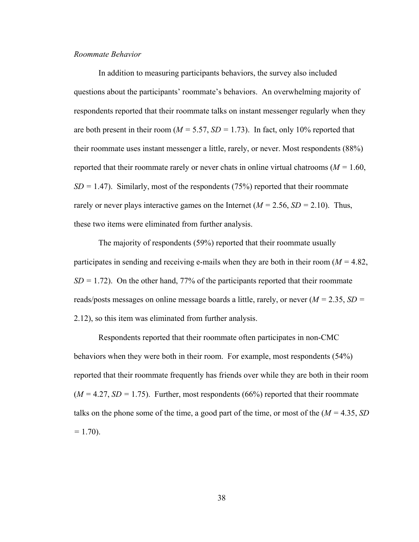## *Roommate Behavior*

In addition to measuring participants behaviors, the survey also included questions about the participants' roommate's behaviors. An overwhelming majority of respondents reported that their roommate talks on instant messenger regularly when they are both present in their room ( $M = 5.57$ ,  $SD = 1.73$ ). In fact, only 10% reported that their roommate uses instant messenger a little, rarely, or never. Most respondents (88%) reported that their roommate rarely or never chats in online virtual chatrooms (*M =* 1.60,  $SD = 1.47$ ). Similarly, most of the respondents (75%) reported that their roommate rarely or never plays interactive games on the Internet (*M =* 2.56, *SD =* 2.10). Thus, these two items were eliminated from further analysis.

The majority of respondents (59%) reported that their roommate usually participates in sending and receiving e-mails when they are both in their room (*M =* 4.82,  $SD = 1.72$ ). On the other hand, 77% of the participants reported that their roommate reads/posts messages on online message boards a little, rarely, or never (*M =* 2.35, *SD =* 2.12), so this item was eliminated from further analysis.

Respondents reported that their roommate often participates in non-CMC behaviors when they were both in their room. For example, most respondents (54%) reported that their roommate frequently has friends over while they are both in their room  $(M = 4.27, SD = 1.75)$ . Further, most respondents (66%) reported that their roommate talks on the phone some of the time, a good part of the time, or most of the (*M =* 4.35, *SD =* 1.70).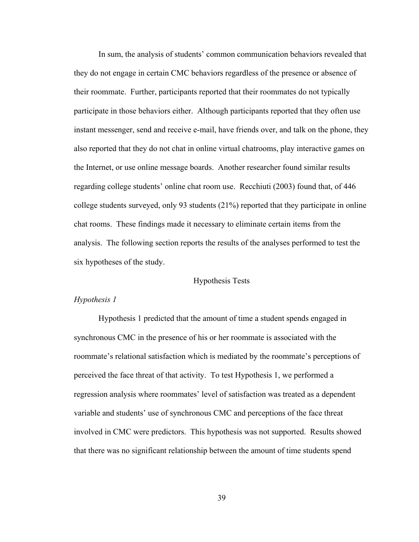In sum, the analysis of students' common communication behaviors revealed that they do not engage in certain CMC behaviors regardless of the presence or absence of their roommate. Further, participants reported that their roommates do not typically participate in those behaviors either. Although participants reported that they often use instant messenger, send and receive e-mail, have friends over, and talk on the phone, they also reported that they do not chat in online virtual chatrooms, play interactive games on the Internet, or use online message boards. Another researcher found similar results regarding college students' online chat room use. Recchiuti (2003) found that, of 446 college students surveyed, only 93 students (21%) reported that they participate in online chat rooms. These findings made it necessary to eliminate certain items from the analysis. The following section reports the results of the analyses performed to test the six hypotheses of the study.

# Hypothesis Tests

# *Hypothesis 1*

Hypothesis 1 predicted that the amount of time a student spends engaged in synchronous CMC in the presence of his or her roommate is associated with the roommate's relational satisfaction which is mediated by the roommate's perceptions of perceived the face threat of that activity. To test Hypothesis 1, we performed a regression analysis where roommates' level of satisfaction was treated as a dependent variable and students' use of synchronous CMC and perceptions of the face threat involved in CMC were predictors. This hypothesis was not supported. Results showed that there was no significant relationship between the amount of time students spend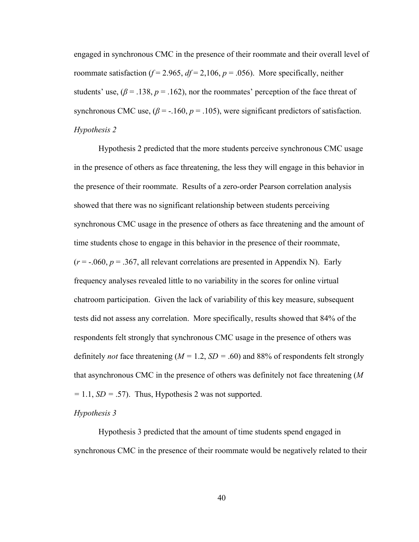engaged in synchronous CMC in the presence of their roommate and their overall level of roommate satisfaction ( $f = 2.965$ ,  $df = 2.106$ ,  $p = .056$ ). More specifically, neither students' use,  $(\beta = .138, p = .162)$ , nor the roommates' perception of the face threat of synchronous CMC use,  $(\beta = -160, p = 0.105)$ , were significant predictors of satisfaction. *Hypothesis 2* 

Hypothesis 2 predicted that the more students perceive synchronous CMC usage in the presence of others as face threatening, the less they will engage in this behavior in the presence of their roommate. Results of a zero-order Pearson correlation analysis showed that there was no significant relationship between students perceiving synchronous CMC usage in the presence of others as face threatening and the amount of time students chose to engage in this behavior in the presence of their roommate,  $(r = -0.060, p = 0.367,$  all relevant correlations are presented in Appendix N). Early frequency analyses revealed little to no variability in the scores for online virtual chatroom participation. Given the lack of variability of this key measure, subsequent tests did not assess any correlation. More specifically, results showed that 84% of the respondents felt strongly that synchronous CMC usage in the presence of others was definitely *not* face threatening (*M =* 1.2, *SD =* .60) and 88% of respondents felt strongly that asynchronous CMC in the presence of others was definitely not face threatening (*M =* 1.1, *SD =* .57). Thus, Hypothesis 2 was not supported.

# *Hypothesis 3*

Hypothesis 3 predicted that the amount of time students spend engaged in synchronous CMC in the presence of their roommate would be negatively related to their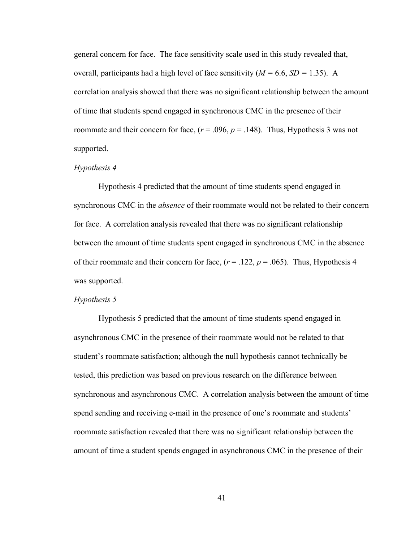general concern for face. The face sensitivity scale used in this study revealed that, overall, participants had a high level of face sensitivity (*M =* 6.6, *SD =* 1.35). A correlation analysis showed that there was no significant relationship between the amount of time that students spend engaged in synchronous CMC in the presence of their roommate and their concern for face,  $(r = .096, p = .148)$ . Thus, Hypothesis 3 was not supported.

### *Hypothesis 4*

Hypothesis 4 predicted that the amount of time students spend engaged in synchronous CMC in the *absence* of their roommate would not be related to their concern for face. A correlation analysis revealed that there was no significant relationship between the amount of time students spent engaged in synchronous CMC in the absence of their roommate and their concern for face,  $(r = .122, p = .065)$ . Thus, Hypothesis 4 was supported.

### *Hypothesis 5*

Hypothesis 5 predicted that the amount of time students spend engaged in asynchronous CMC in the presence of their roommate would not be related to that student's roommate satisfaction; although the null hypothesis cannot technically be tested, this prediction was based on previous research on the difference between synchronous and asynchronous CMC. A correlation analysis between the amount of time spend sending and receiving e-mail in the presence of one's roommate and students' roommate satisfaction revealed that there was no significant relationship between the amount of time a student spends engaged in asynchronous CMC in the presence of their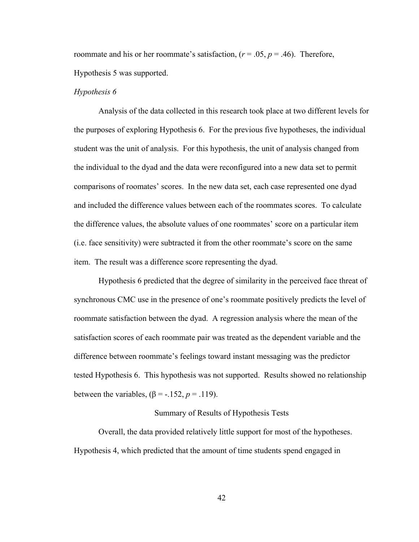roommate and his or her roommate's satisfaction,  $(r = .05, p = .46)$ . Therefore, Hypothesis 5 was supported.

#### *Hypothesis 6*

 Analysis of the data collected in this research took place at two different levels for the purposes of exploring Hypothesis 6. For the previous five hypotheses, the individual student was the unit of analysis. For this hypothesis, the unit of analysis changed from the individual to the dyad and the data were reconfigured into a new data set to permit comparisons of roomates' scores. In the new data set, each case represented one dyad and included the difference values between each of the roommates scores. To calculate the difference values, the absolute values of one roommates' score on a particular item (i.e. face sensitivity) were subtracted it from the other roommate's score on the same item. The result was a difference score representing the dyad.

Hypothesis 6 predicted that the degree of similarity in the perceived face threat of synchronous CMC use in the presence of one's roommate positively predicts the level of roommate satisfaction between the dyad. A regression analysis where the mean of the satisfaction scores of each roommate pair was treated as the dependent variable and the difference between roommate's feelings toward instant messaging was the predictor tested Hypothesis 6. This hypothesis was not supported. Results showed no relationship between the variables,  $(\beta = -152, p = 0.119)$ .

# Summary of Results of Hypothesis Tests

Overall, the data provided relatively little support for most of the hypotheses. Hypothesis 4, which predicted that the amount of time students spend engaged in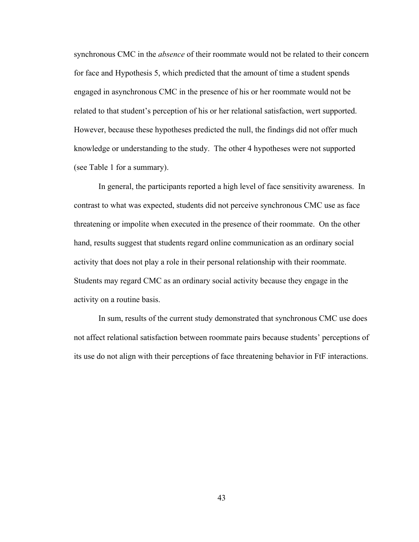synchronous CMC in the *absence* of their roommate would not be related to their concern for face and Hypothesis 5, which predicted that the amount of time a student spends engaged in asynchronous CMC in the presence of his or her roommate would not be related to that student's perception of his or her relational satisfaction, wert supported. However, because these hypotheses predicted the null, the findings did not offer much knowledge or understanding to the study. The other 4 hypotheses were not supported (see Table 1 for a summary).

In general, the participants reported a high level of face sensitivity awareness. In contrast to what was expected, students did not perceive synchronous CMC use as face threatening or impolite when executed in the presence of their roommate. On the other hand, results suggest that students regard online communication as an ordinary social activity that does not play a role in their personal relationship with their roommate. Students may regard CMC as an ordinary social activity because they engage in the activity on a routine basis.

In sum, results of the current study demonstrated that synchronous CMC use does not affect relational satisfaction between roommate pairs because students' perceptions of its use do not align with their perceptions of face threatening behavior in FtF interactions.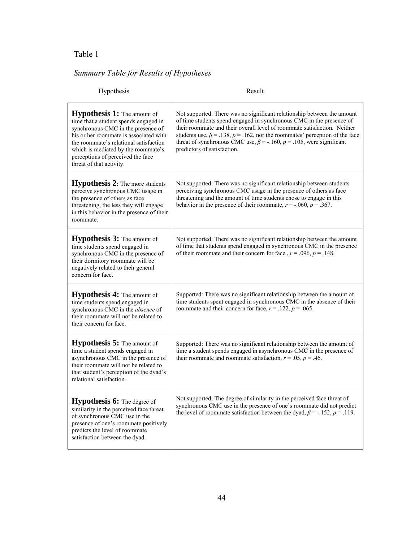# Table 1

# *Summary Table for Results of Hypotheses*

| Hypothesis                                                                                                                                                                                                                                                                                                    | Result                                                                                                                                                                                                                                                                                                                                                                                                                              |  |  |
|---------------------------------------------------------------------------------------------------------------------------------------------------------------------------------------------------------------------------------------------------------------------------------------------------------------|-------------------------------------------------------------------------------------------------------------------------------------------------------------------------------------------------------------------------------------------------------------------------------------------------------------------------------------------------------------------------------------------------------------------------------------|--|--|
| <b>Hypothesis 1:</b> The amount of<br>time that a student spends engaged in<br>synchronous CMC in the presence of<br>his or her roommate is associated with<br>the roommate's relational satisfaction<br>which is mediated by the roommate's<br>perceptions of perceived the face<br>threat of that activity. | Not supported: There was no significant relationship between the amount<br>of time students spend engaged in synchronous CMC in the presence of<br>their roommate and their overall level of roommate satisfaction. Neither<br>students use, $\beta = .138$ , $p = .162$ , nor the roommates' perception of the face<br>threat of synchronous CMC use, $\beta$ = -.160, $p$ = .105, were significant<br>predictors of satisfaction. |  |  |
| <b>Hypothesis 2:</b> The more students<br>perceive synchronous CMC usage in<br>the presence of others as face<br>threatening, the less they will engage<br>in this behavior in the presence of their<br>roommate.                                                                                             | Not supported: There was no significant relationship between students<br>perceiving synchronous CMC usage in the presence of others as face<br>threatening and the amount of time students chose to engage in this<br>behavior in the presence of their roommate, $r = -0.060$ , $p = 0.367$ .                                                                                                                                      |  |  |
| <b>Hypothesis 3:</b> The amount of<br>time students spend engaged in<br>synchronous CMC in the presence of<br>their dormitory roommate will be<br>negatively related to their general<br>concern for face.                                                                                                    | Not supported: There was no significant relationship between the amount<br>of time that students spend engaged in synchronous CMC in the presence<br>of their roommate and their concern for face, $r = .096$ , $p = .148$ .                                                                                                                                                                                                        |  |  |
| Hypothesis 4: The amount of<br>time students spend engaged in<br>synchronous CMC in the absence of<br>their roommate will not be related to<br>their concern for face.                                                                                                                                        | Supported: There was no significant relationship between the amount of<br>time students spent engaged in synchronous CMC in the absence of their<br>roommate and their concern for face, $r = .122$ , $p = .065$ .                                                                                                                                                                                                                  |  |  |
| <b>Hypothesis 5:</b> The amount of<br>time a student spends engaged in<br>asynchronous CMC in the presence of<br>their roommate will not be related to<br>that student's perception of the dyad's<br>relational satisfaction.                                                                                 | Supported: There was no significant relationship between the amount of<br>time a student spends engaged in asynchronous CMC in the presence of<br>their roommate and roommate satisfaction, $r = .05$ , $p = .46$ .                                                                                                                                                                                                                 |  |  |
| <b>Hypothesis 6:</b> The degree of<br>similarity in the perceived face threat<br>of synchronous CMC use in the<br>presence of one's roommate positively<br>predicts the level of roommate<br>satisfaction between the dyad.                                                                                   | Not supported: The degree of similarity in the perceived face threat of<br>synchronous CMC use in the presence of one's roommate did not predict<br>the level of roommate satisfaction between the dyad, $\beta$ = -.152, $p$ = .119.                                                                                                                                                                                               |  |  |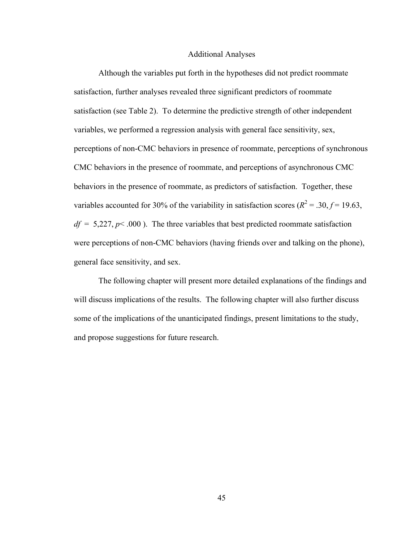### Additional Analyses

Although the variables put forth in the hypotheses did not predict roommate satisfaction, further analyses revealed three significant predictors of roommate satisfaction (see Table 2). To determine the predictive strength of other independent variables, we performed a regression analysis with general face sensitivity, sex, perceptions of non-CMC behaviors in presence of roommate, perceptions of synchronous CMC behaviors in the presence of roommate, and perceptions of asynchronous CMC behaviors in the presence of roommate, as predictors of satisfaction. Together, these variables accounted for 30% of the variability in satisfaction scores ( $R^2 = .30, f = 19.63$ ,  $df = 5,227, p < .000$ ). The three variables that best predicted roommate satisfaction were perceptions of non-CMC behaviors (having friends over and talking on the phone), general face sensitivity, and sex.

The following chapter will present more detailed explanations of the findings and will discuss implications of the results. The following chapter will also further discuss some of the implications of the unanticipated findings, present limitations to the study, and propose suggestions for future research.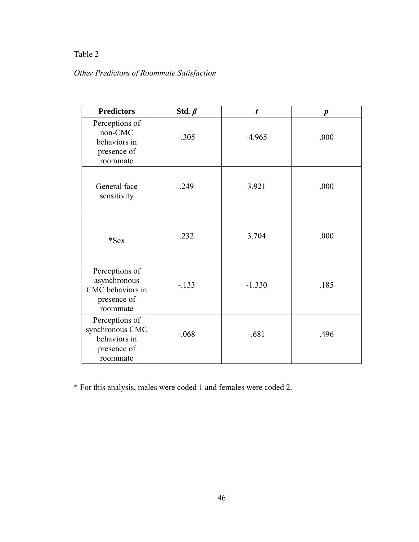# Table 2

# *Other Predictors of Roommate Satisfaction*

| <b>Predictors</b>                                                             | Std. $\beta$ | $\boldsymbol{t}$ | $\boldsymbol{p}$ |
|-------------------------------------------------------------------------------|--------------|------------------|------------------|
| Perceptions of<br>non-CMC<br>behaviors in<br>presence of<br>roommate          | $-.305$      | $-4.965$         | .000             |
| General face<br>sensitivity                                                   | .249         | 3.921            | .000             |
| $*$ Sex                                                                       | .232         | 3.704            | .000             |
| Perceptions of<br>asynchronous<br>CMC behaviors in<br>presence of<br>roommate | $-133$       | $-1.330$         | .185             |
| Perceptions of<br>synchronous CMC<br>behaviors in<br>presence of<br>roommate  | $-.068$      | $-.681$          | .496             |

\* For this analysis, males were coded 1 and females were coded 2.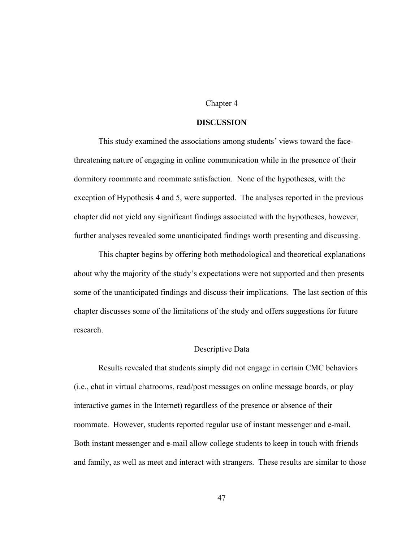## Chapter 4

### **DISCUSSION**

 This study examined the associations among students' views toward the facethreatening nature of engaging in online communication while in the presence of their dormitory roommate and roommate satisfaction. None of the hypotheses, with the exception of Hypothesis 4 and 5, were supported. The analyses reported in the previous chapter did not yield any significant findings associated with the hypotheses, however, further analyses revealed some unanticipated findings worth presenting and discussing.

This chapter begins by offering both methodological and theoretical explanations about why the majority of the study's expectations were not supported and then presents some of the unanticipated findings and discuss their implications. The last section of this chapter discusses some of the limitations of the study and offers suggestions for future research.

### Descriptive Data

Results revealed that students simply did not engage in certain CMC behaviors (i.e., chat in virtual chatrooms, read/post messages on online message boards, or play interactive games in the Internet) regardless of the presence or absence of their roommate. However, students reported regular use of instant messenger and e-mail. Both instant messenger and e-mail allow college students to keep in touch with friends and family, as well as meet and interact with strangers. These results are similar to those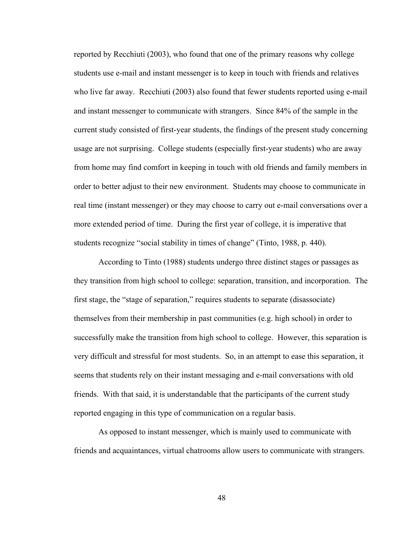reported by Recchiuti (2003), who found that one of the primary reasons why college students use e-mail and instant messenger is to keep in touch with friends and relatives who live far away. Recchiuti (2003) also found that fewer students reported using e-mail and instant messenger to communicate with strangers. Since 84% of the sample in the current study consisted of first-year students, the findings of the present study concerning usage are not surprising. College students (especially first-year students) who are away from home may find comfort in keeping in touch with old friends and family members in order to better adjust to their new environment. Students may choose to communicate in real time (instant messenger) or they may choose to carry out e-mail conversations over a more extended period of time. During the first year of college, it is imperative that students recognize "social stability in times of change" (Tinto, 1988, p. 440).

According to Tinto (1988) students undergo three distinct stages or passages as they transition from high school to college: separation, transition, and incorporation. The first stage, the "stage of separation," requires students to separate (disassociate) themselves from their membership in past communities (e.g. high school) in order to successfully make the transition from high school to college. However, this separation is very difficult and stressful for most students. So, in an attempt to ease this separation, it seems that students rely on their instant messaging and e-mail conversations with old friends. With that said, it is understandable that the participants of the current study reported engaging in this type of communication on a regular basis.

As opposed to instant messenger, which is mainly used to communicate with friends and acquaintances, virtual chatrooms allow users to communicate with strangers.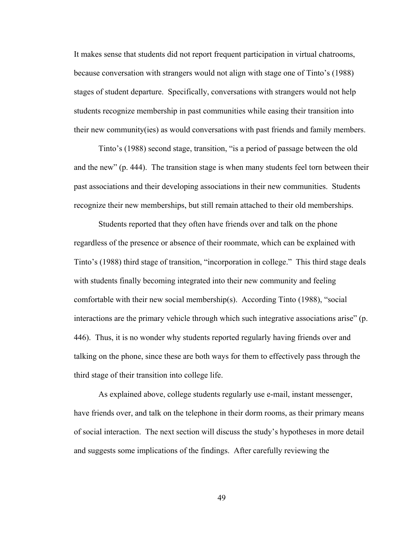It makes sense that students did not report frequent participation in virtual chatrooms, because conversation with strangers would not align with stage one of Tinto's (1988) stages of student departure. Specifically, conversations with strangers would not help students recognize membership in past communities while easing their transition into their new community(ies) as would conversations with past friends and family members.

Tinto's (1988) second stage, transition, "is a period of passage between the old and the new" (p. 444). The transition stage is when many students feel torn between their past associations and their developing associations in their new communities. Students recognize their new memberships, but still remain attached to their old memberships.

Students reported that they often have friends over and talk on the phone regardless of the presence or absence of their roommate, which can be explained with Tinto's (1988) third stage of transition, "incorporation in college." This third stage deals with students finally becoming integrated into their new community and feeling comfortable with their new social membership(s). According Tinto (1988), "social interactions are the primary vehicle through which such integrative associations arise" (p. 446). Thus, it is no wonder why students reported regularly having friends over and talking on the phone, since these are both ways for them to effectively pass through the third stage of their transition into college life.

As explained above, college students regularly use e-mail, instant messenger, have friends over, and talk on the telephone in their dorm rooms, as their primary means of social interaction. The next section will discuss the study's hypotheses in more detail and suggests some implications of the findings. After carefully reviewing the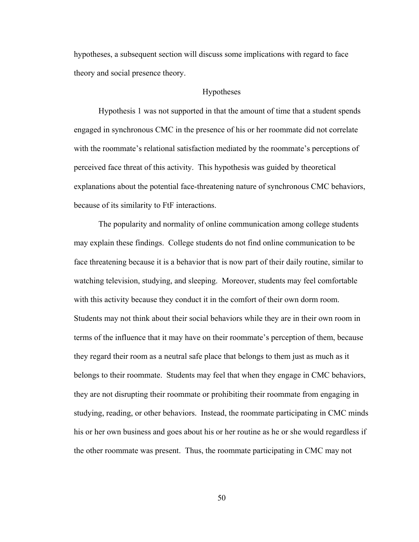hypotheses, a subsequent section will discuss some implications with regard to face theory and social presence theory.

# Hypotheses

 Hypothesis 1 was not supported in that the amount of time that a student spends engaged in synchronous CMC in the presence of his or her roommate did not correlate with the roommate's relational satisfaction mediated by the roommate's perceptions of perceived face threat of this activity. This hypothesis was guided by theoretical explanations about the potential face-threatening nature of synchronous CMC behaviors, because of its similarity to FtF interactions.

 The popularity and normality of online communication among college students may explain these findings. College students do not find online communication to be face threatening because it is a behavior that is now part of their daily routine, similar to watching television, studying, and sleeping. Moreover, students may feel comfortable with this activity because they conduct it in the comfort of their own dorm room. Students may not think about their social behaviors while they are in their own room in terms of the influence that it may have on their roommate's perception of them, because they regard their room as a neutral safe place that belongs to them just as much as it belongs to their roommate. Students may feel that when they engage in CMC behaviors, they are not disrupting their roommate or prohibiting their roommate from engaging in studying, reading, or other behaviors. Instead, the roommate participating in CMC minds his or her own business and goes about his or her routine as he or she would regardless if the other roommate was present. Thus, the roommate participating in CMC may not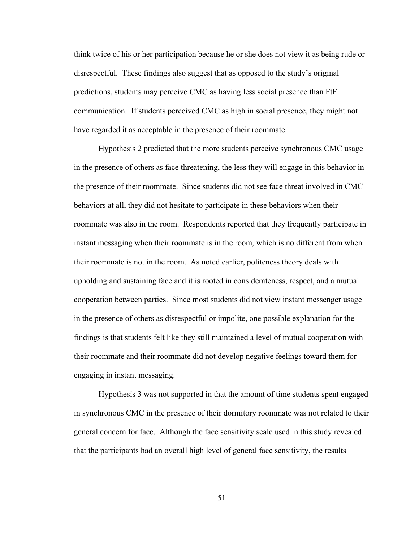think twice of his or her participation because he or she does not view it as being rude or disrespectful. These findings also suggest that as opposed to the study's original predictions, students may perceive CMC as having less social presence than FtF communication. If students perceived CMC as high in social presence, they might not have regarded it as acceptable in the presence of their roommate.

 Hypothesis 2 predicted that the more students perceive synchronous CMC usage in the presence of others as face threatening, the less they will engage in this behavior in the presence of their roommate. Since students did not see face threat involved in CMC behaviors at all, they did not hesitate to participate in these behaviors when their roommate was also in the room. Respondents reported that they frequently participate in instant messaging when their roommate is in the room, which is no different from when their roommate is not in the room. As noted earlier, politeness theory deals with upholding and sustaining face and it is rooted in considerateness, respect, and a mutual cooperation between parties. Since most students did not view instant messenger usage in the presence of others as disrespectful or impolite, one possible explanation for the findings is that students felt like they still maintained a level of mutual cooperation with their roommate and their roommate did not develop negative feelings toward them for engaging in instant messaging.

Hypothesis 3 was not supported in that the amount of time students spent engaged in synchronous CMC in the presence of their dormitory roommate was not related to their general concern for face. Although the face sensitivity scale used in this study revealed that the participants had an overall high level of general face sensitivity, the results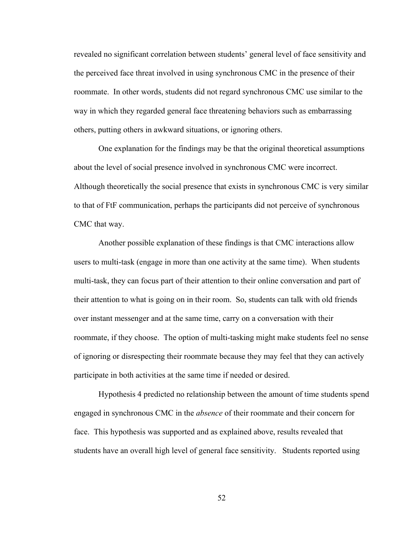revealed no significant correlation between students' general level of face sensitivity and the perceived face threat involved in using synchronous CMC in the presence of their roommate. In other words, students did not regard synchronous CMC use similar to the way in which they regarded general face threatening behaviors such as embarrassing others, putting others in awkward situations, or ignoring others.

One explanation for the findings may be that the original theoretical assumptions about the level of social presence involved in synchronous CMC were incorrect. Although theoretically the social presence that exists in synchronous CMC is very similar to that of FtF communication, perhaps the participants did not perceive of synchronous CMC that way.

Another possible explanation of these findings is that CMC interactions allow users to multi-task (engage in more than one activity at the same time). When students multi-task, they can focus part of their attention to their online conversation and part of their attention to what is going on in their room. So, students can talk with old friends over instant messenger and at the same time, carry on a conversation with their roommate, if they choose. The option of multi-tasking might make students feel no sense of ignoring or disrespecting their roommate because they may feel that they can actively participate in both activities at the same time if needed or desired.

Hypothesis 4 predicted no relationship between the amount of time students spend engaged in synchronous CMC in the *absence* of their roommate and their concern for face. This hypothesis was supported and as explained above, results revealed that students have an overall high level of general face sensitivity. Students reported using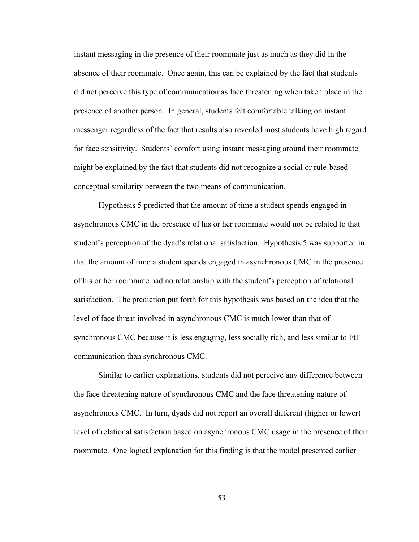instant messaging in the presence of their roommate just as much as they did in the absence of their roommate. Once again, this can be explained by the fact that students did not perceive this type of communication as face threatening when taken place in the presence of another person. In general, students felt comfortable talking on instant messenger regardless of the fact that results also revealed most students have high regard for face sensitivity. Students' comfort using instant messaging around their roommate might be explained by the fact that students did not recognize a social or rule-based conceptual similarity between the two means of communication.

Hypothesis 5 predicted that the amount of time a student spends engaged in asynchronous CMC in the presence of his or her roommate would not be related to that student's perception of the dyad's relational satisfaction. Hypothesis 5 was supported in that the amount of time a student spends engaged in asynchronous CMC in the presence of his or her roommate had no relationship with the student's perception of relational satisfaction. The prediction put forth for this hypothesis was based on the idea that the level of face threat involved in asynchronous CMC is much lower than that of synchronous CMC because it is less engaging, less socially rich, and less similar to FtF communication than synchronous CMC.

Similar to earlier explanations, students did not perceive any difference between the face threatening nature of synchronous CMC and the face threatening nature of asynchronous CMC. In turn, dyads did not report an overall different (higher or lower) level of relational satisfaction based on asynchronous CMC usage in the presence of their roommate. One logical explanation for this finding is that the model presented earlier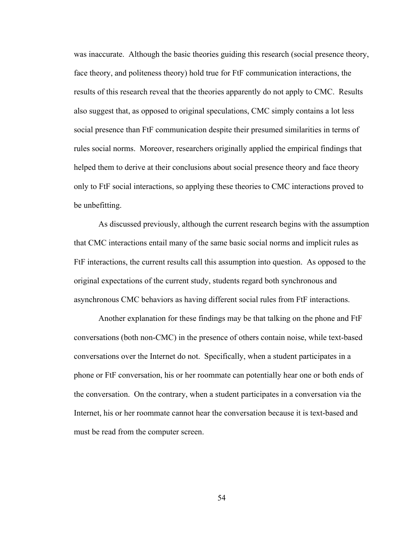was inaccurate. Although the basic theories guiding this research (social presence theory, face theory, and politeness theory) hold true for FtF communication interactions, the results of this research reveal that the theories apparently do not apply to CMC. Results also suggest that, as opposed to original speculations, CMC simply contains a lot less social presence than FtF communication despite their presumed similarities in terms of rules social norms. Moreover, researchers originally applied the empirical findings that helped them to derive at their conclusions about social presence theory and face theory only to FtF social interactions, so applying these theories to CMC interactions proved to be unbefitting.

As discussed previously, although the current research begins with the assumption that CMC interactions entail many of the same basic social norms and implicit rules as FtF interactions, the current results call this assumption into question. As opposed to the original expectations of the current study, students regard both synchronous and asynchronous CMC behaviors as having different social rules from FtF interactions.

Another explanation for these findings may be that talking on the phone and FtF conversations (both non-CMC) in the presence of others contain noise, while text-based conversations over the Internet do not. Specifically, when a student participates in a phone or FtF conversation, his or her roommate can potentially hear one or both ends of the conversation. On the contrary, when a student participates in a conversation via the Internet, his or her roommate cannot hear the conversation because it is text-based and must be read from the computer screen.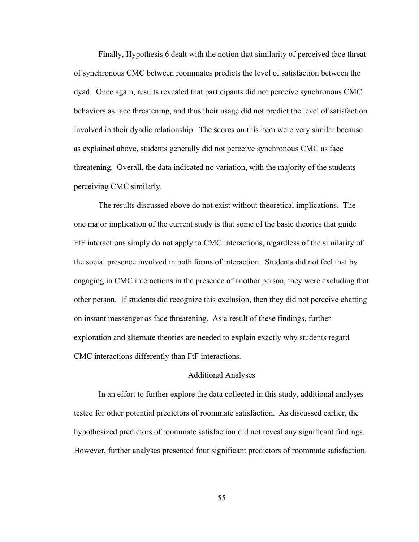Finally, Hypothesis 6 dealt with the notion that similarity of perceived face threat of synchronous CMC between roommates predicts the level of satisfaction between the dyad. Once again, results revealed that participants did not perceive synchronous CMC behaviors as face threatening, and thus their usage did not predict the level of satisfaction involved in their dyadic relationship. The scores on this item were very similar because as explained above, students generally did not perceive synchronous CMC as face threatening. Overall, the data indicated no variation, with the majority of the students perceiving CMC similarly.

 The results discussed above do not exist without theoretical implications. The one major implication of the current study is that some of the basic theories that guide FtF interactions simply do not apply to CMC interactions, regardless of the similarity of the social presence involved in both forms of interaction. Students did not feel that by engaging in CMC interactions in the presence of another person, they were excluding that other person. If students did recognize this exclusion, then they did not perceive chatting on instant messenger as face threatening. As a result of these findings, further exploration and alternate theories are needed to explain exactly why students regard CMC interactions differently than FtF interactions.

#### Additional Analyses

 In an effort to further explore the data collected in this study, additional analyses tested for other potential predictors of roommate satisfaction. As discussed earlier, the hypothesized predictors of roommate satisfaction did not reveal any significant findings. However, further analyses presented four significant predictors of roommate satisfaction.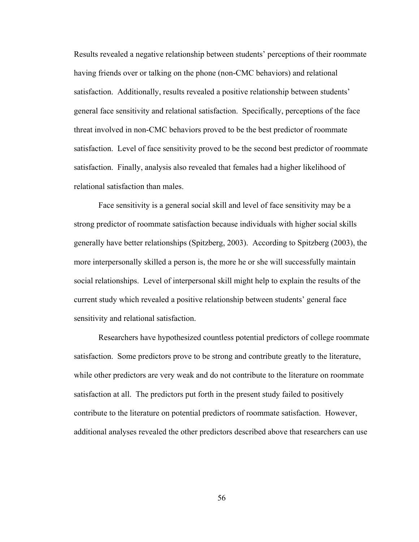Results revealed a negative relationship between students' perceptions of their roommate having friends over or talking on the phone (non-CMC behaviors) and relational satisfaction. Additionally, results revealed a positive relationship between students' general face sensitivity and relational satisfaction. Specifically, perceptions of the face threat involved in non-CMC behaviors proved to be the best predictor of roommate satisfaction. Level of face sensitivity proved to be the second best predictor of roommate satisfaction. Finally, analysis also revealed that females had a higher likelihood of relational satisfaction than males.

Face sensitivity is a general social skill and level of face sensitivity may be a strong predictor of roommate satisfaction because individuals with higher social skills generally have better relationships (Spitzberg, 2003). According to Spitzberg (2003), the more interpersonally skilled a person is, the more he or she will successfully maintain social relationships. Level of interpersonal skill might help to explain the results of the current study which revealed a positive relationship between students' general face sensitivity and relational satisfaction.

Researchers have hypothesized countless potential predictors of college roommate satisfaction. Some predictors prove to be strong and contribute greatly to the literature, while other predictors are very weak and do not contribute to the literature on roommate satisfaction at all. The predictors put forth in the present study failed to positively contribute to the literature on potential predictors of roommate satisfaction. However, additional analyses revealed the other predictors described above that researchers can use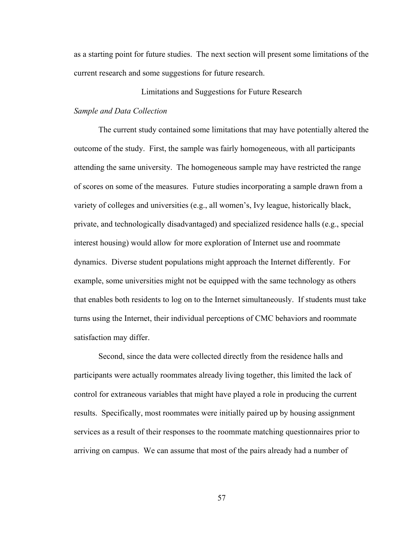as a starting point for future studies. The next section will present some limitations of the current research and some suggestions for future research.

## Limitations and Suggestions for Future Research

# *Sample and Data Collection*

 The current study contained some limitations that may have potentially altered the outcome of the study. First, the sample was fairly homogeneous, with all participants attending the same university. The homogeneous sample may have restricted the range of scores on some of the measures. Future studies incorporating a sample drawn from a variety of colleges and universities (e.g., all women's, Ivy league, historically black, private, and technologically disadvantaged) and specialized residence halls (e.g., special interest housing) would allow for more exploration of Internet use and roommate dynamics. Diverse student populations might approach the Internet differently. For example, some universities might not be equipped with the same technology as others that enables both residents to log on to the Internet simultaneously. If students must take turns using the Internet, their individual perceptions of CMC behaviors and roommate satisfaction may differ.

 Second, since the data were collected directly from the residence halls and participants were actually roommates already living together, this limited the lack of control for extraneous variables that might have played a role in producing the current results. Specifically, most roommates were initially paired up by housing assignment services as a result of their responses to the roommate matching questionnaires prior to arriving on campus. We can assume that most of the pairs already had a number of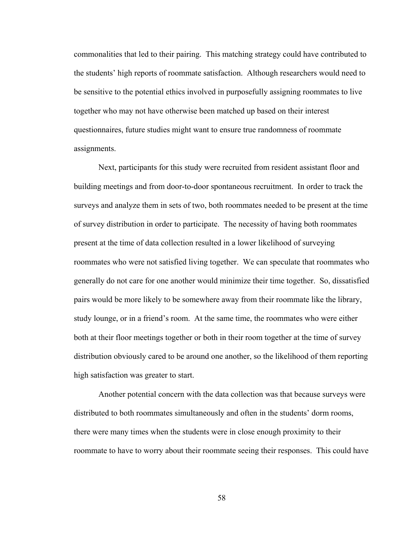commonalities that led to their pairing. This matching strategy could have contributed to the students' high reports of roommate satisfaction. Although researchers would need to be sensitive to the potential ethics involved in purposefully assigning roommates to live together who may not have otherwise been matched up based on their interest questionnaires, future studies might want to ensure true randomness of roommate assignments.

Next, participants for this study were recruited from resident assistant floor and building meetings and from door-to-door spontaneous recruitment. In order to track the surveys and analyze them in sets of two, both roommates needed to be present at the time of survey distribution in order to participate. The necessity of having both roommates present at the time of data collection resulted in a lower likelihood of surveying roommates who were not satisfied living together. We can speculate that roommates who generally do not care for one another would minimize their time together. So, dissatisfied pairs would be more likely to be somewhere away from their roommate like the library, study lounge, or in a friend's room. At the same time, the roommates who were either both at their floor meetings together or both in their room together at the time of survey distribution obviously cared to be around one another, so the likelihood of them reporting high satisfaction was greater to start.

 Another potential concern with the data collection was that because surveys were distributed to both roommates simultaneously and often in the students' dorm rooms, there were many times when the students were in close enough proximity to their roommate to have to worry about their roommate seeing their responses. This could have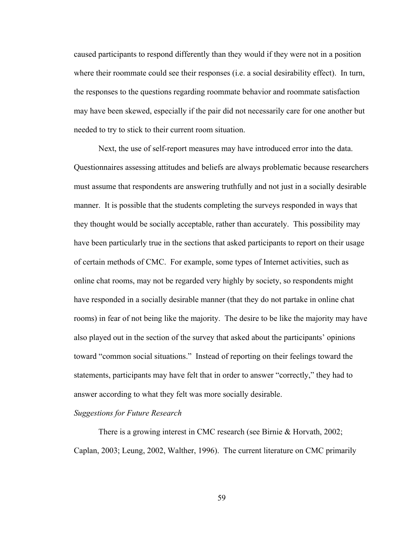caused participants to respond differently than they would if they were not in a position where their roommate could see their responses (i.e. a social desirability effect). In turn, the responses to the questions regarding roommate behavior and roommate satisfaction may have been skewed, especially if the pair did not necessarily care for one another but needed to try to stick to their current room situation.

 Next, the use of self-report measures may have introduced error into the data. Questionnaires assessing attitudes and beliefs are always problematic because researchers must assume that respondents are answering truthfully and not just in a socially desirable manner. It is possible that the students completing the surveys responded in ways that they thought would be socially acceptable, rather than accurately. This possibility may have been particularly true in the sections that asked participants to report on their usage of certain methods of CMC. For example, some types of Internet activities, such as online chat rooms, may not be regarded very highly by society, so respondents might have responded in a socially desirable manner (that they do not partake in online chat rooms) in fear of not being like the majority. The desire to be like the majority may have also played out in the section of the survey that asked about the participants' opinions toward "common social situations." Instead of reporting on their feelings toward the statements, participants may have felt that in order to answer "correctly," they had to answer according to what they felt was more socially desirable.

# *Suggestions for Future Research*

There is a growing interest in CMC research (see Birnie & Horvath, 2002; Caplan, 2003; Leung, 2002, Walther, 1996). The current literature on CMC primarily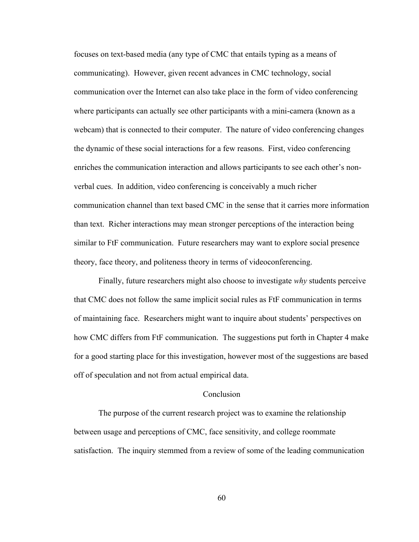focuses on text-based media (any type of CMC that entails typing as a means of communicating). However, given recent advances in CMC technology, social communication over the Internet can also take place in the form of video conferencing where participants can actually see other participants with a mini-camera (known as a webcam) that is connected to their computer. The nature of video conferencing changes the dynamic of these social interactions for a few reasons. First, video conferencing enriches the communication interaction and allows participants to see each other's nonverbal cues. In addition, video conferencing is conceivably a much richer communication channel than text based CMC in the sense that it carries more information than text. Richer interactions may mean stronger perceptions of the interaction being similar to FtF communication. Future researchers may want to explore social presence theory, face theory, and politeness theory in terms of videoconferencing.

Finally, future researchers might also choose to investigate *why* students perceive that CMC does not follow the same implicit social rules as FtF communication in terms of maintaining face. Researchers might want to inquire about students' perspectives on how CMC differs from FtF communication. The suggestions put forth in Chapter 4 make for a good starting place for this investigation, however most of the suggestions are based off of speculation and not from actual empirical data.

### **Conclusion**

 The purpose of the current research project was to examine the relationship between usage and perceptions of CMC, face sensitivity, and college roommate satisfaction. The inquiry stemmed from a review of some of the leading communication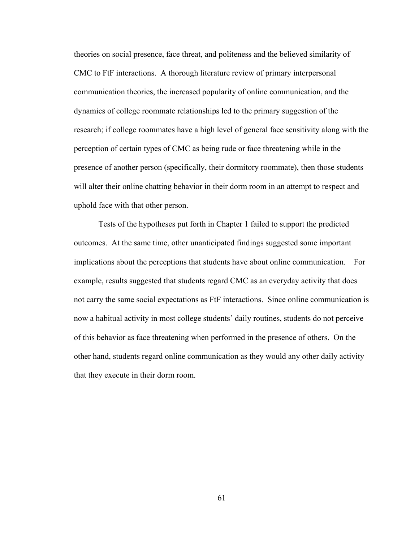theories on social presence, face threat, and politeness and the believed similarity of CMC to FtF interactions. A thorough literature review of primary interpersonal communication theories, the increased popularity of online communication, and the dynamics of college roommate relationships led to the primary suggestion of the research; if college roommates have a high level of general face sensitivity along with the perception of certain types of CMC as being rude or face threatening while in the presence of another person (specifically, their dormitory roommate), then those students will alter their online chatting behavior in their dorm room in an attempt to respect and uphold face with that other person.

 Tests of the hypotheses put forth in Chapter 1 failed to support the predicted outcomes. At the same time, other unanticipated findings suggested some important implications about the perceptions that students have about online communication. For example, results suggested that students regard CMC as an everyday activity that does not carry the same social expectations as FtF interactions. Since online communication is now a habitual activity in most college students' daily routines, students do not perceive of this behavior as face threatening when performed in the presence of others. On the other hand, students regard online communication as they would any other daily activity that they execute in their dorm room.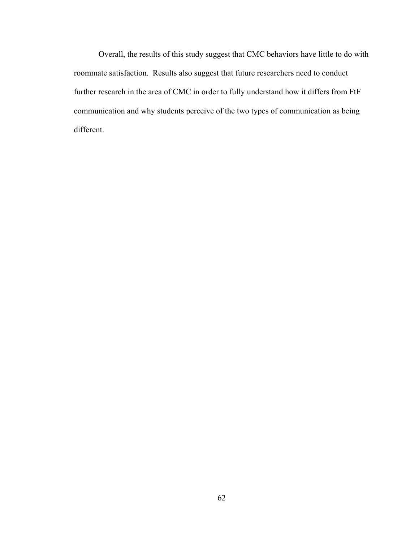Overall, the results of this study suggest that CMC behaviors have little to do with roommate satisfaction. Results also suggest that future researchers need to conduct further research in the area of CMC in order to fully understand how it differs from FtF communication and why students perceive of the two types of communication as being different.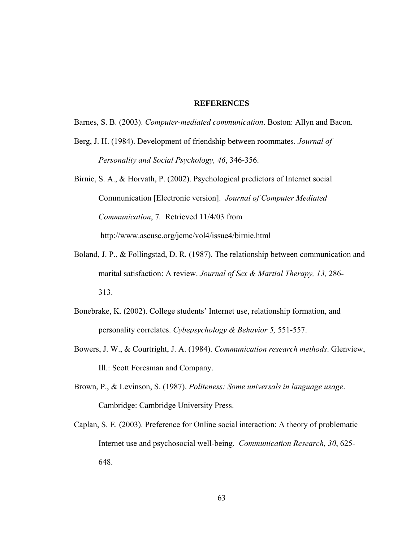### **REFERENCES**

Barnes, S. B. (2003). *Computer-mediated communication*. Boston: Allyn and Bacon.

- Berg, J. H. (1984). Development of friendship between roommates. *Journal of Personality and Social Psychology, 46*, 346-356.
- Birnie, S. A., & Horvath, P. (2002). Psychological predictors of Internet social Communication [Electronic version]. *Journal of Computer Mediated Communication*, 7*.* Retrieved 11/4/03 from http://www.ascusc.org/jcmc/vol4/issue4/birnie.html
- Boland, J. P., & Follingstad, D. R. (1987). The relationship between communication and marital satisfaction: A review. *Journal of Sex & Martial Therapy, 13,* 286- 313.
- Bonebrake, K. (2002). College students' Internet use, relationship formation, and personality correlates. *Cybepsychology & Behavior 5,* 551-557.
- Bowers, J. W., & Courtright, J. A. (1984). *Communication research methods*. Glenview, Ill.: Scott Foresman and Company.
- Brown, P., & Levinson, S. (1987). *Politeness: Some universals in language usage*. Cambridge: Cambridge University Press.
- Caplan, S. E. (2003). Preference for Online social interaction: A theory of problematic Internet use and psychosocial well-being. *Communication Research, 30*, 625- 648.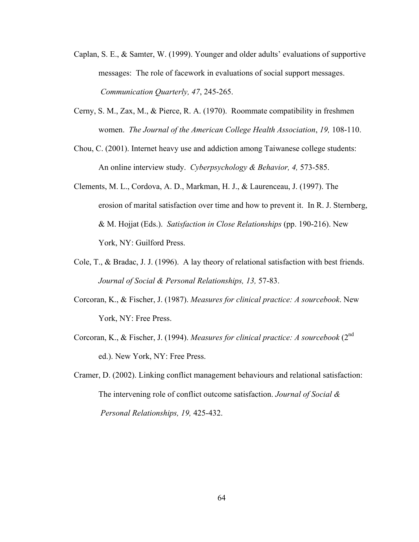- Caplan, S. E., & Samter, W. (1999). Younger and older adults' evaluations of supportive messages: The role of facework in evaluations of social support messages. *Communication Quarterly, 47*, 245-265.
- Cerny, S. M., Zax, M., & Pierce, R. A. (1970). Roommate compatibility in freshmen women. *The Journal of the American College Health Association*, *19,* 108-110.
- Chou, C. (2001). Internet heavy use and addiction among Taiwanese college students: An online interview study. *Cyberpsychology & Behavior, 4,* 573-585.
- Clements, M. L., Cordova, A. D., Markman, H. J., & Laurenceau, J. (1997). The erosion of marital satisfaction over time and how to prevent it. In R. J. Sternberg, & M. Hojjat (Eds.). *Satisfaction in Close Relationships* (pp. 190-216). New York, NY: Guilford Press.
- Cole, T., & Bradac, J. J. (1996). A lay theory of relational satisfaction with best friends. *Journal of Social & Personal Relationships, 13,* 57-83.
- Corcoran, K., & Fischer, J. (1987). *Measures for clinical practice: A sourcebook*. New York, NY: Free Press.
- Corcoran, K., & Fischer, J. (1994). *Measures for clinical practice: A sourcebook* (2nd ed.). New York, NY: Free Press.
- Cramer, D. (2002). Linking conflict management behaviours and relational satisfaction: The intervening role of conflict outcome satisfaction. *Journal of Social & Personal Relationships, 19,* 425-432.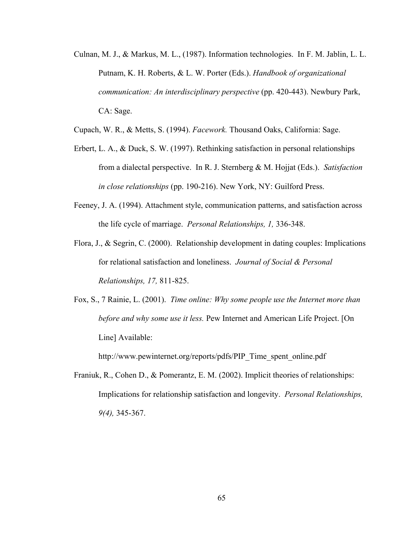Culnan, M. J., & Markus, M. L., (1987). Information technologies. In F. M. Jablin, L. L. Putnam, K. H. Roberts, & L. W. Porter (Eds.). *Handbook of organizational communication: An interdisciplinary perspective* (pp. 420-443). Newbury Park, CA: Sage.

Cupach, W. R., & Metts, S. (1994). *Facework.* Thousand Oaks, California: Sage.

- Erbert, L. A., & Duck, S. W. (1997). Rethinking satisfaction in personal relationships from a dialectal perspective. In R. J. Sternberg & M. Hojjat (Eds.). *Satisfaction in close relationships* (pp. 190-216). New York, NY: Guilford Press.
- Feeney, J. A. (1994). Attachment style, communication patterns, and satisfaction across the life cycle of marriage. *Personal Relationships, 1,* 336-348.
- Flora, J., & Segrin, C. (2000). Relationship development in dating couples: Implications for relational satisfaction and loneliness. *Journal of Social & Personal Relationships, 17,* 811-825.
- Fox, S., 7 Rainie, L. (2001). *Time online: Why some people use the Internet more than before and why some use it less.* Pew Internet and American Life Project. [On Line] Available:

http://www.pewinternet.org/reports/pdfs/PIP Time spent\_online.pdf

Franiuk, R., Cohen D., & Pomerantz, E. M. (2002). Implicit theories of relationships: Implications for relationship satisfaction and longevity. *Personal Relationships, 9(4),* 345-367.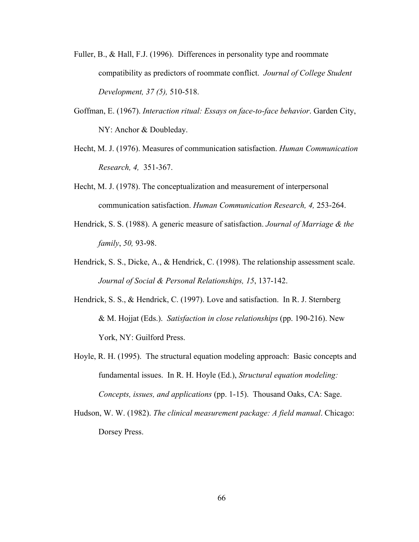- Fuller, B., & Hall, F.J. (1996). Differences in personality type and roommate compatibility as predictors of roommate conflict. *Journal of College Student Development, 37 (5),* 510-518.
- Goffman, E. (1967). *Interaction ritual: Essays on face-to-face behavior*. Garden City, NY: Anchor & Doubleday.
- Hecht, M. J. (1976). Measures of communication satisfaction. *Human Communication Research, 4,* 351-367.
- Hecht, M. J. (1978). The conceptualization and measurement of interpersonal communication satisfaction. *Human Communication Research, 4,* 253-264.
- Hendrick, S. S. (1988). A generic measure of satisfaction. *Journal of Marriage & the family*, *50,* 93-98.
- Hendrick, S. S., Dicke, A., & Hendrick, C. (1998). The relationship assessment scale. *Journal of Social & Personal Relationships, 15*, 137-142.
- Hendrick, S. S., & Hendrick, C. (1997). Love and satisfaction. In R. J. Sternberg & M. Hojjat (Eds.). *Satisfaction in close relationships* (pp. 190-216). New York, NY: Guilford Press.
- Hoyle, R. H. (1995). The structural equation modeling approach: Basic concepts and fundamental issues. In R. H. Hoyle (Ed.), *Structural equation modeling: Concepts, issues, and applications* (pp. 1-15). Thousand Oaks, CA: Sage.
- Hudson, W. W. (1982). *The clinical measurement package: A field manual*. Chicago: Dorsey Press.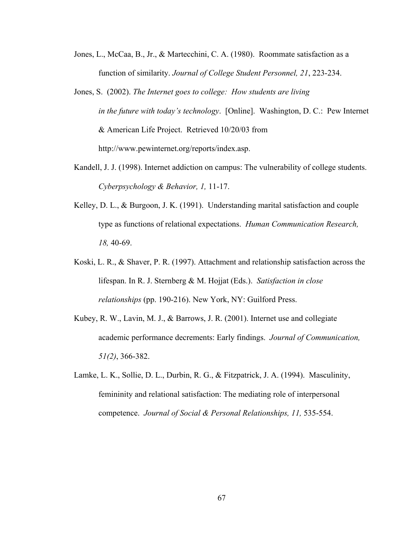- Jones, L., McCaa, B., Jr., & Martecchini, C. A. (1980). Roommate satisfaction as a function of similarity. *Journal of College Student Personnel, 21*, 223-234.
- Jones, S. (2002). *The Internet goes to college: How students are living in the future with today's technology*. [Online]. Washington, D. C.: Pew Internet & American Life Project. Retrieved 10/20/03 from http://www.pewinternet.org/reports/index.asp.
- Kandell, J. J. (1998). Internet addiction on campus: The vulnerability of college students. *Cyberpsychology & Behavior, 1,* 11-17.
- Kelley, D. L., & Burgoon, J. K. (1991). Understanding marital satisfaction and couple type as functions of relational expectations. *Human Communication Research, 18,* 40-69.
- Koski, L. R., & Shaver, P. R. (1997). Attachment and relationship satisfaction across the lifespan. In R. J. Sternberg & M. Hojjat (Eds.). *Satisfaction in close relationships* (pp. 190-216). New York, NY: Guilford Press.
- Kubey, R. W., Lavin, M. J., & Barrows, J. R. (2001). Internet use and collegiate academic performance decrements: Early findings. *Journal of Communication, 51(2)*, 366-382.
- Lamke, L. K., Sollie, D. L., Durbin, R. G., & Fitzpatrick, J. A. (1994). Masculinity, femininity and relational satisfaction: The mediating role of interpersonal competence. *Journal of Social & Personal Relationships, 11,* 535-554.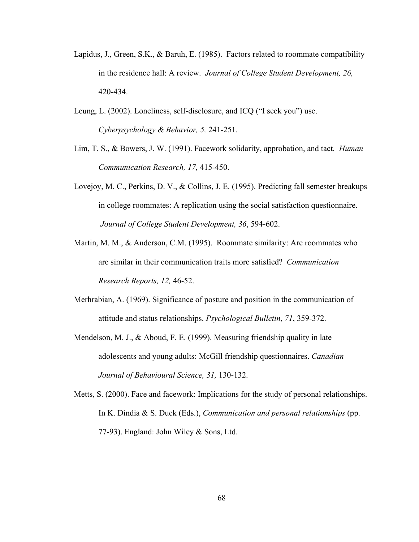- Lapidus, J., Green, S.K., & Baruh, E. (1985). Factors related to roommate compatibility in the residence hall: A review. *Journal of College Student Development, 26,*  420-434.
- Leung, L. (2002). Loneliness, self-disclosure, and ICQ ("I seek you") use. *Cyberpsychology & Behavior, 5,* 241-251.
- Lim, T. S., & Bowers, J. W. (1991). Facework solidarity, approbation, and tact*. Human Communication Research, 17,* 415-450.
- Lovejoy, M. C., Perkins, D. V., & Collins, J. E. (1995). Predicting fall semester breakups in college roommates: A replication using the social satisfaction questionnaire. *Journal of College Student Development, 36*, 594-602.
- Martin, M. M., & Anderson, C.M. (1995). Roommate similarity: Are roommates who are similar in their communication traits more satisfied? *Communication Research Reports, 12,* 46-52.
- Merhrabian, A. (1969). Significance of posture and position in the communication of attitude and status relationships. *Psychological Bulletin*, *71*, 359-372.
- Mendelson, M. J., & Aboud, F. E. (1999). Measuring friendship quality in late adolescents and young adults: McGill friendship questionnaires. *Canadian Journal of Behavioural Science, 31,* 130-132.
- Metts, S. (2000). Face and facework: Implications for the study of personal relationships. In K. Dindia & S. Duck (Eds.), *Communication and personal relationships* (pp. 77-93). England: John Wiley & Sons, Ltd.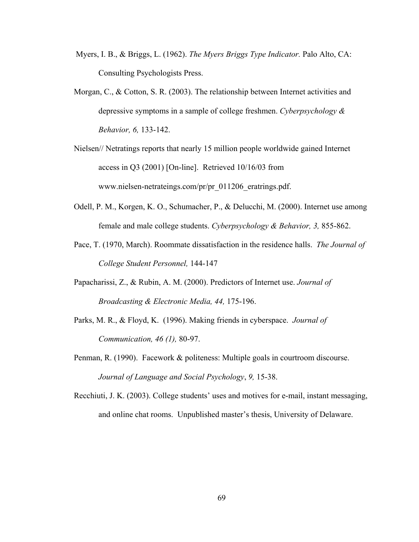- Myers, I. B., & Briggs, L. (1962). *The Myers Briggs Type Indicator.* Palo Alto, CA: Consulting Psychologists Press.
- Morgan, C., & Cotton, S. R. (2003). The relationship between Internet activities and depressive symptoms in a sample of college freshmen. *Cyberpsychology & Behavior, 6,* 133-142.
- Nielsen// Netratings reports that nearly 15 million people worldwide gained Internet access in Q3 (2001) [On-line]. Retrieved 10/16/03 from www.nielsen-netrateings.com/pr/pr\_011206\_eratrings.pdf.
- Odell, P. M., Korgen, K. O., Schumacher, P., & Delucchi, M. (2000). Internet use among female and male college students. *Cyberpsychology & Behavior, 3,* 855-862.
- Pace, T. (1970, March). Roommate dissatisfaction in the residence halls. *The Journal of College Student Personnel,* 144-147
- Papacharissi, Z., & Rubin, A. M. (2000). Predictors of Internet use. *Journal of Broadcasting & Electronic Media, 44,* 175-196.
- Parks, M. R., & Floyd, K. (1996). Making friends in cyberspace. *Journal of Communication, 46 (1),* 80-97.
- Penman, R. (1990). Facework & politeness: Multiple goals in courtroom discourse. *Journal of Language and Social Psychology*, *9,* 15-38.
- Recchiuti, J. K. (2003). College students' uses and motives for e-mail, instant messaging, and online chat rooms.Unpublished master's thesis, University of Delaware.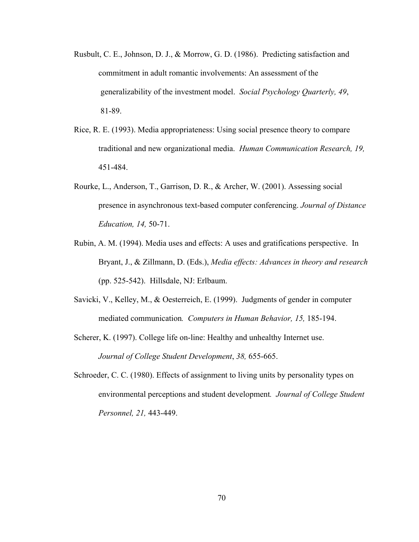- Rusbult, C. E., Johnson, D. J., & Morrow, G. D. (1986). Predicting satisfaction and commitment in adult romantic involvements: An assessment of the generalizability of the investment model. *Social Psychology Quarterly, 49*, 81-89.
- Rice, R. E. (1993). Media appropriateness: Using social presence theory to compare traditional and new organizational media. *Human Communication Research, 19,* 451-484.
- Rourke, L., Anderson, T., Garrison, D. R., & Archer, W. (2001). Assessing social presence in asynchronous text-based computer conferencing. *Journal of Distance Education, 14,* 50-71.
- Rubin, A. M. (1994). Media uses and effects: A uses and gratifications perspective. In Bryant, J., & Zillmann, D. (Eds.), *Media effects: Advances in theory and research*  (pp. 525-542). Hillsdale, NJ: Erlbaum.
- Savicki, V., Kelley, M., & Oesterreich, E. (1999). Judgments of gender in computer mediated communication*. Computers in Human Behavior, 15,* 185-194.
- Scherer, K. (1997). College life on-line: Healthy and unhealthy Internet use. *Journal of College Student Development*, *38,* 655-665.
- Schroeder, C. C. (1980). Effects of assignment to living units by personality types on environmental perceptions and student development*. Journal of College Student Personnel, 21,* 443-449.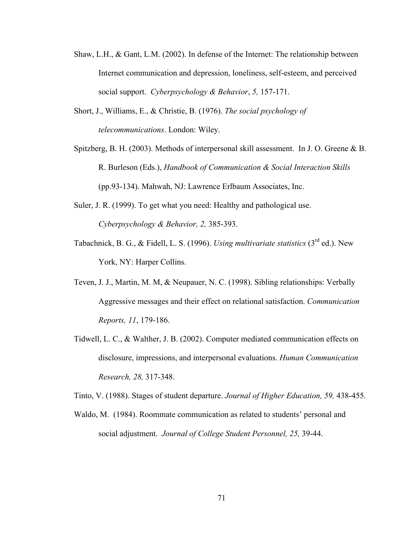- Shaw, L.H., & Gant, L.M. (2002). In defense of the Internet: The relationship between Internet communication and depression, loneliness, self-esteem, and perceived social support. *Cyberpsychology & Behavior*, *5,* 157-171.
- Short, J., Williams, E., & Christie, B. (1976). *The social psychology of telecommunications*. London: Wiley.
- Spitzberg, B. H. (2003). Methods of interpersonal skill assessment. In J. O. Greene & B. R. Burleson (Eds.), *Handbook of Communication & Social Interaction Skills* (pp.93-134). Mahwah, NJ: Lawrence Erlbaum Associates, Inc.
- Suler, J. R. (1999). To get what you need: Healthy and pathological use. *Cyberpsychology & Behavior, 2,* 385-393.
- Tabachnick, B. G., & Fidell, L. S. (1996). *Using multivariate statistics* (3rd ed.). New York, NY: Harper Collins.
- Teven, J. J., Martin, M. M, & Neupauer, N. C. (1998). Sibling relationships: Verbally Aggressive messages and their effect on relational satisfaction. *Communication Reports, 11*, 179-186.
- Tidwell, L. C., & Walther, J. B. (2002). Computer mediated communication effects on disclosure, impressions, and interpersonal evaluations. *Human Communication Research, 28,* 317-348.

Tinto, V. (1988). Stages of student departure. *Journal of Higher Education, 59,* 438-455.

Waldo, M. (1984). Roommate communication as related to students' personal and social adjustment. *Journal of College Student Personnel, 25,* 39-44.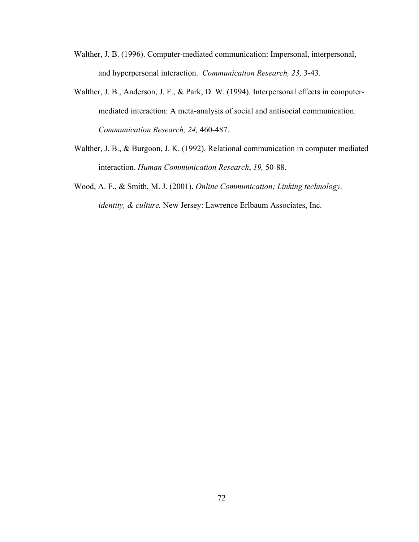- Walther, J. B. (1996). Computer-mediated communication: Impersonal, interpersonal, and hyperpersonal interaction. *Communication Research, 23,* 3-43.
- Walther, J. B., Anderson, J. F., & Park, D. W. (1994). Interpersonal effects in computermediated interaction: A meta-analysis of social and antisocial communication. *Communication Research, 24,* 460-487.
- Walther, J. B., & Burgoon, J. K. (1992). Relational communication in computer mediated interaction. *Human Communication Research*, *19,* 50-88.
- Wood, A. F., & Smith, M. J. (2001). *Online Communication; Linking technology, identity, & culture.* New Jersey: Lawrence Erlbaum Associates, Inc.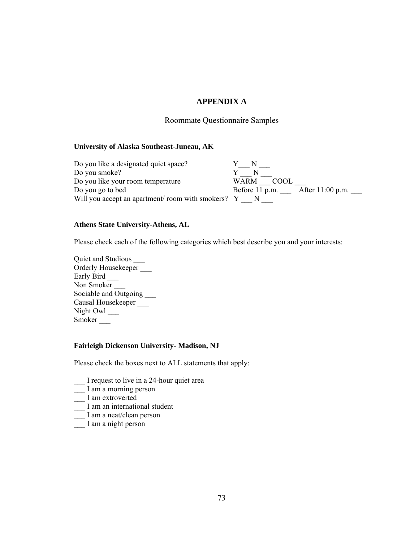## **APPENDIX A**

### Roommate Questionnaire Samples

### **University of Alaska Southeast-Juneau, AK**

Do you like a designated quiet space?<br>
Do you smoke?<br>  $Y \longrightarrow N \longrightarrow N$ Do you smoke? Do you like your room temperature Do you like your room temperature<br>Do you go to bed<br> $\overline{\text{Before 11 p.m.}}$  After 11:00 p.m. Will you accept an apartment/ room with smokers?  $Y_{\text{max}} N_{\text{max}}$ 

### **Athens State University-Athens, AL**

Please check each of the following categories which best describe you and your interests:

Quiet and Studious \_\_\_ Orderly Housekeeper \_\_\_ Early Bird \_\_\_ Non Smoker Sociable and Outgoing \_\_\_\_\_ Causal Housekeeper \_\_\_ Night Owl \_\_\_\_ Smoker \_\_\_

#### **Fairleigh Dickenson University- Madison, NJ**

Please check the boxes next to ALL statements that apply:

- \_\_\_ I request to live in a 24-hour quiet area
- \_\_\_ I am a morning person
- \_\_ I am extroverted
- $\frac{1}{\sqrt{1}}$  I am an international student
- $\equiv$  I am a neat/clean person
- \_\_\_ I am a night person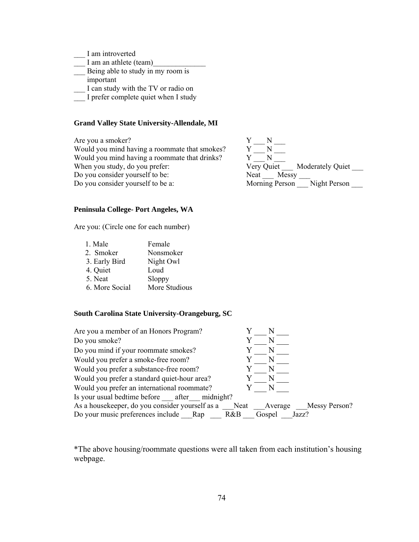- \_\_\_ I am introverted
- $\frac{1}{\sqrt{2}}$  I am an athlete (team)
- **EXECUTE:** Being able to study in my room is
- important
- \_\_\_ I can study with the TV or radio on
- \_\_\_ I prefer complete quiet when I study

#### **Grand Valley State University-Allendale, MI**

Are you a smoker?<br>Would you mind having a roommate that smokes?<br> $Y = N$   $Y = N$ Would you mind having a roommate that smokes? Would you mind having a roommate that drinks? Would you mind having a roommate that drinks?<br>
Wery Quiet \_\_\_\_ Moderately Quiet \_\_\_\_ When you study, do you prefer:  $V = V = V = V$ . Do you consider yourself to be: Neat Messy Do you consider yourself to be a: Morning Person \_\_\_ Night Person



#### **Peninsula College- Port Angeles, WA**

Are you: (Circle one for each number)

| 1. Male        | Female        |
|----------------|---------------|
| 2. Smoker      | Nonsmoker     |
| 3. Early Bird  | Night Owl     |
| 4. Quiet       | Loud          |
| 5. Neat        | Sloppy        |
| 6. More Social | More Studious |

#### **South Carolina State University-Orangeburg, SC**

| Are you a member of an Honors Program?          |                            |  |
|-------------------------------------------------|----------------------------|--|
| Do you smoke?                                   | N                          |  |
| Do you mind if your roommate smokes?            |                            |  |
| Would you prefer a smoke-free room?             | $\mathbb N$                |  |
| Would you prefer a substance-free room?         | N                          |  |
| Would you prefer a standard quiet-hour area?    | N                          |  |
| Would you prefer an international roommate?     |                            |  |
| Is your usual bedtime before after midnight?    |                            |  |
| As a housekeeper, do you consider yourself as a | Neat Average Messy Person? |  |
| Do your music preferences include Rap           | Gospel<br>Jazz?<br>R&B     |  |

\*The above housing/roommate questions were all taken from each institution's housing webpage.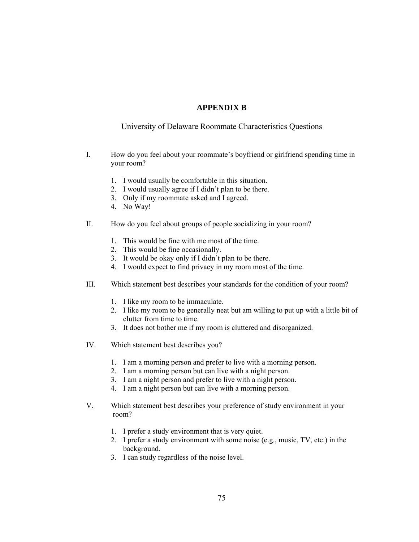### **APPENDIX B**

### University of Delaware Roommate Characteristics Questions

- I. How do you feel about your roommate's boyfriend or girlfriend spending time in your room?
	- 1. I would usually be comfortable in this situation.
	- 2. I would usually agree if I didn't plan to be there.
	- 3. Only if my roommate asked and I agreed.
	- 4. No Way!
- II. How do you feel about groups of people socializing in your room?
	- 1. This would be fine with me most of the time.
	- 2. This would be fine occasionally.
	- 3. It would be okay only if I didn't plan to be there.
	- 4. I would expect to find privacy in my room most of the time.
- III. Which statement best describes your standards for the condition of your room?
	- 1. I like my room to be immaculate.
	- 2. I like my room to be generally neat but am willing to put up with a little bit of clutter from time to time.
	- 3. It does not bother me if my room is cluttered and disorganized.
- IV. Which statement best describes you?
	- 1. I am a morning person and prefer to live with a morning person.
	- 2. I am a morning person but can live with a night person.
	- 3. I am a night person and prefer to live with a night person.
	- 4. I am a night person but can live with a morning person.
- V. Which statement best describes your preference of study environment in your room?
	- 1. I prefer a study environment that is very quiet.
	- 2. I prefer a study environment with some noise (e.g., music, TV, etc.) in the background.
	- 3. I can study regardless of the noise level.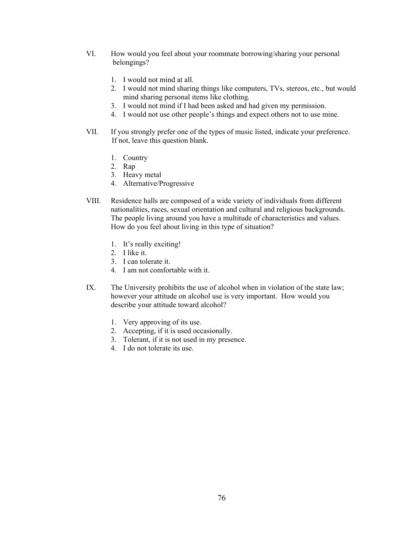- VI. How would you feel about your roommate borrowing/sharing your personal belongings?
	- 1. I would not mind at all.
	- 2. I would not mind sharing things like computers, TVs, stereos, etc., but would mind sharing personal items like clothing.
	- 3. I would not mind if I had been asked and had given my permission.
	- 4. I would not use other people's things and expect others not to use mine.
- VII. If you strongly prefer one of the types of music listed, indicate your preference. If not, leave this question blank.
	- 1. Country
	- 2. Rap
	- 3. Heavy metal
	- 4. Alternative/Progressive
- VIII. Residence halls are composed of a wide variety of individuals from different nationalities, races, sexual orientation and cultural and religious backgrounds. The people living around you have a multitude of characteristics and values. How do you feel about living in this type of situation?
	- 1. It's really exciting!
	- 2. I like it.
	- 3. I can tolerate it.
	- 4. I am not comfortable with it.
- IX. The University prohibits the use of alcohol when in violation of the state law; however your attitude on alcohol use is very important. How would you describe your attitude toward alcohol?
	- 1. Very approving of its use.
	- 2. Accepting, if it is used occasionally.
	- 3. Tolerant, if it is not used in my presence.
	- 4. I do not tolerate its use.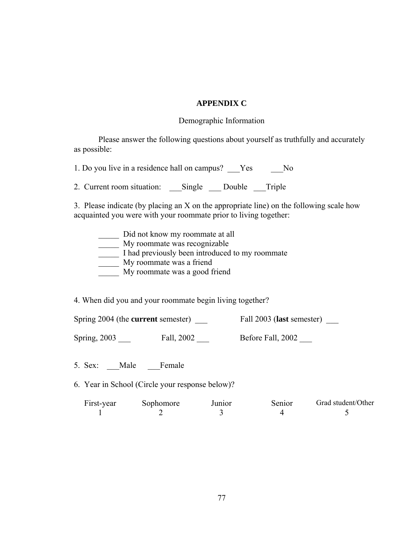## **APPENDIX C**

### Demographic Information

Please answer the following questions about yourself as truthfully and accurately as possible:

1. Do you live in a residence hall on campus? \_\_\_Yes \_\_\_\_No

2. Current room situation: \_\_\_Single \_\_\_Double \_\_\_Triple

3. Please indicate (by placing an X on the appropriate line) on the following scale how acquainted you were with your roommate prior to living together:

\_\_\_\_\_ Did not know my roommate at all

\_\_\_\_\_ My roommate was recognizable

\_\_\_\_\_ I had previously been introduced to my roommate

My roommate was a friend

My roommate was a good friend

4. When did you and your roommate begin living together?

Spring 2004 (the **current** semester) \_\_\_ Fall 2003 (**last** semester) \_\_\_

Spring, 2003 \_\_\_\_ Fall, 2002 \_\_\_ Before Fall, 2002

5. Sex: Male Female

6. Year in School (Circle your response below)?

First-year Sophomore Junior Senior Grad student/Other  $1 2 3 4 5$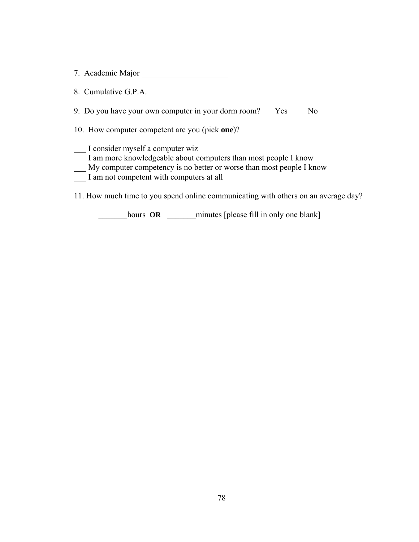7. Academic Major \_\_\_\_\_\_\_\_\_\_\_\_\_\_\_\_\_\_\_\_\_

8. Cumulative G.P.A.

9. Do you have your own computer in your dorm room? Fes Ro

10. How computer competent are you (pick **one**)?

\_\_\_ I consider myself a computer wiz

- $\frac{1}{\sqrt{1-\frac{1}{n}}}$  I am more knowledgeable about computers than most people I know
- \_\_\_ My computer competency is no better or worse than most people I know
- I am not competent with computers at all

11. How much time to you spend online communicating with others on an average day?

\_\_\_\_\_\_\_hours **OR** \_\_\_\_\_\_\_minutes [please fill in only one blank]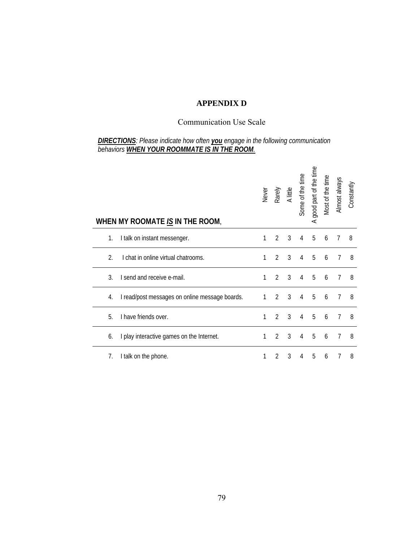# **APPENDIX D**

## Communication Use Scale

### *DIRECTIONS: Please indicate how often you engage in the following communication behaviors WHEN YOUR ROOMMATE IS IN THE ROOM.*

|    | WHEN MY ROOMATE IS IN THE ROOM,                | Never | Rarely         | A little | Some of the time | good part of the time<br>$\prec$ | Most of the time | Almost always | Constantly |
|----|------------------------------------------------|-------|----------------|----------|------------------|----------------------------------|------------------|---------------|------------|
| 1. | I talk on instant messenger.                   | 1     | 2              | 3        | 4                | 5                                | 6                | 7             | 8          |
| 2. | I chat in online virtual chatrooms.            | 1     | $\mathcal{P}$  | 3        | 4                | 5                                | 6                | 7             | 8          |
| 3. | I send and receive e-mail.                     | 1     | $\mathcal{P}$  | 3        | 4                | 5                                | 6                | 7             | 8          |
| 4. | I read/post messages on online message boards. | 1     | $\mathfrak{D}$ | 3        | 4                | 5                                | 6                | 7             | 8          |
| 5. | I have friends over.                           | 1     | $\overline{2}$ | 3        | 4                | 5                                | 6                | 7             | 8          |
| 6. | I play interactive games on the Internet.      | 1     | $\mathcal{P}$  | 3        | 4                | 5                                | 6                | 7             | 8          |
| 7. | I talk on the phone.                           |       | 2              | 3        | 4                | 5                                | 6                |               | 8          |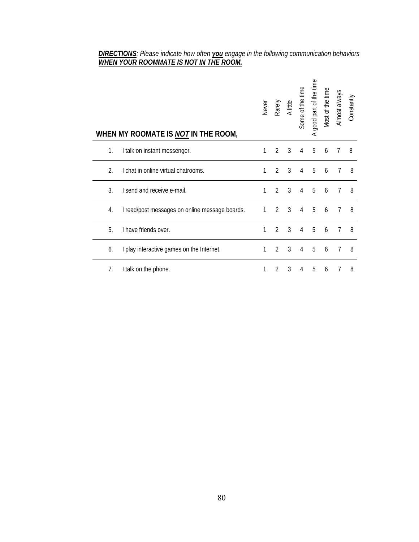### *DIRECTIONS: Please indicate how often you engage in the following communication behaviors WHEN YOUR ROOMMATE IS NOT IN THE ROOM.*

|                | WHEN MY ROOMATE IS NOT IN THE ROOM,            | Never        | Rarely         | A little       | Some of the time | good part of the time<br>$\prec$ | Most of the time | Almost always | Constantly |
|----------------|------------------------------------------------|--------------|----------------|----------------|------------------|----------------------------------|------------------|---------------|------------|
| 1.             | I talk on instant messenger.                   | 1            | 2              | 3              | 4                | 5                                | 6                | 7             | 8          |
| $\mathfrak{D}$ | I chat in online virtual chatrooms.            | 1            | $\mathcal{P}$  | 3              | 4                | 5                                | 6                |               | 8          |
| $\mathcal{E}$  | I send and receive e-mail.                     | 1            | $\mathfrak{D}$ | 3              | 4                | 5                                | 6                |               | 8          |
| 4.             | I read/post messages on online message boards. | $\mathbf{1}$ | $\mathfrak{D}$ | $\overline{3}$ | 4                | 5                                | 6                | 7             | 8          |
| 5.             | I have friends over.                           | 1            | $\mathcal{P}$  | 3              | 4                | 5                                | 6                | 7             | 8          |
| 6.             | I play interactive games on the Internet.      | 1            | 2              | 3              | 4                | 5                                | 6                | 7             | 8          |
| 7.             | I talk on the phone.                           |              | 2              | 3              | 4                | 5                                | 6                |               | 8          |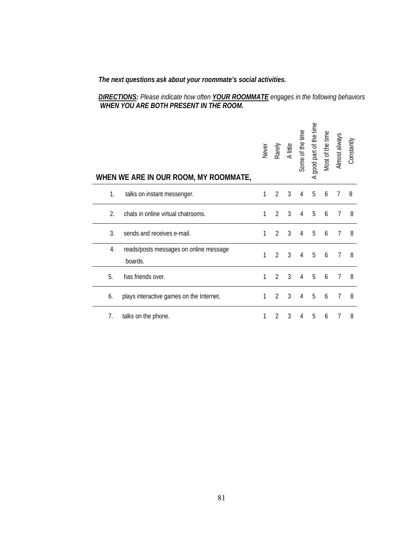*The next questions ask about your roommate's social activities.* 

### *DIRECTIONS: Please indicate how often YOUR ROOMMATE engages in the following behaviors WHEN YOU ARE BOTH PRESENT IN THE ROOM.*

|                | WHEN WE ARE IN OUR ROOM, MY ROOMMATE,             | Never | Rarely         | A little | Some of the time | good part of the time<br>⋖ | Most of the time | Almost always  | Constantly |
|----------------|---------------------------------------------------|-------|----------------|----------|------------------|----------------------------|------------------|----------------|------------|
| $\mathbf{1}$ . | talks on instant messenger.                       | 1     | 2              | 3        | 4                | 5                          | 6                | $\prime$       | 8          |
| 2.             | chats in online virtual chatrooms.                | 1     | 2              | 3        | $\overline{4}$   | 5                          | 6                | $\overline{7}$ | 8          |
| 3.             | sends and receives e-mail.                        | 1     | $\overline{2}$ | 3        | 4                | 5                          | 6                | 7              | 8          |
| 4.             | reads/posts messages on online message<br>boards. | 1     | $\mathfrak{D}$ | 3        | 4                | 5                          | 6                | 7              | 8          |
| 5.             | has friends over.                                 | 1     | 2              | 3        | 4                | 5                          | 6                | 7              | 8          |
| 6.             | plays interactive games on the Internet.          | 1     | 2              | 3        | 4                | 5                          | 6                | 7              | 8          |
| 7.             | talks on the phone.                               | 1     | $\overline{2}$ | 3        | 4                | 5                          | 6                |                | 8          |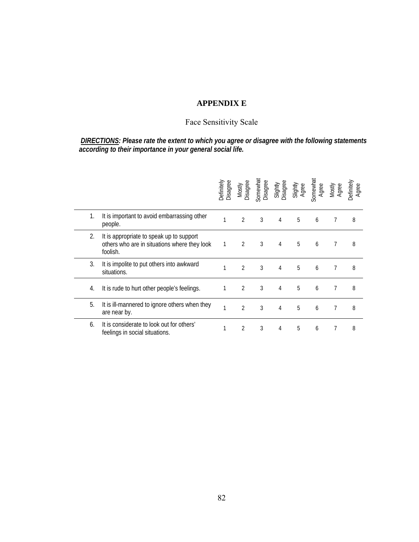# **APPENDIX E**

# Face Sensitivity Scale

 *DIRECTIONS: Please rate the extent to which you agree or disagree with the following statements according to their importance in your general social life.* 

|    |                                                                                                      | Disagree<br>Jefinitely | Mostly<br>Disagree | Somewhat<br>Disagree | Slightly<br>Disagree | Slightly<br>Agree | Somewhat<br>Agree | Mostly<br>Agree | Definitely<br>Agree |
|----|------------------------------------------------------------------------------------------------------|------------------------|--------------------|----------------------|----------------------|-------------------|-------------------|-----------------|---------------------|
| 1. | It is important to avoid embarrassing other<br>people.                                               |                        | $\overline{2}$     | 3                    | 4                    | 5                 | 6                 | 7               | 8                   |
| 2. | It is appropriate to speak up to support<br>others who are in situations where they look<br>foolish. | 1                      | $\overline{2}$     | 3                    | 4                    | 5                 | 6                 | 7               | 8                   |
| 3. | It is impolite to put others into awkward<br>situations.                                             |                        | $\overline{2}$     | 3                    | 4                    | 5                 | 6                 | 7               | 8                   |
| 4. | It is rude to hurt other people's feelings.                                                          |                        | 2                  | 3                    | 4                    | 5                 | 6                 | $\overline{7}$  | 8                   |
| 5. | It is ill-mannered to ignore others when they<br>are near by.                                        | 1                      | 2                  | 3                    | 4                    | 5                 | 6                 | 7               | 8                   |
| 6. | It is considerate to look out for others'<br>feelings in social situations.                          |                        | 2                  | 3                    | 4                    | 5                 | 6                 | 7               | 8                   |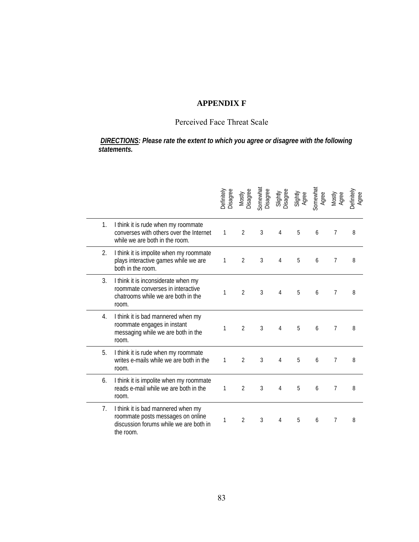# **APPENDIX F**

# Perceived Face Threat Scale

 *DIRECTIONS: Please rate the extent to which you agree or disagree with the following statements.*

|    |                                                                                                                                | Definitely<br>Disagree | Mostly<br>Disagree | Somewhat<br>Disagree | Slightly<br>Disagree | Slightly<br>Agree | Somewhat<br>Agree | Mostly<br>Agree | Definitely<br>Agree |
|----|--------------------------------------------------------------------------------------------------------------------------------|------------------------|--------------------|----------------------|----------------------|-------------------|-------------------|-----------------|---------------------|
| 1. | I think it is rude when my roommate<br>converses with others over the Internet<br>while we are both in the room.               | 1                      | 2                  | 3                    | 4                    | 5                 | 6                 | 7               | 8                   |
| 2. | I think it is impolite when my roommate<br>plays interactive games while we are<br>both in the room.                           | 1                      | $\overline{2}$     | 3                    | 4                    | 5                 | 6                 | 7               | 8                   |
| 3. | I think it is inconsiderate when my<br>roommate converses in interactive<br>chatrooms while we are both in the<br>room.        | 1                      | $\overline{2}$     | 3                    | 4                    | 5                 | 6                 | 7               | 8                   |
| 4. | I think it is bad mannered when my<br>roommate engages in instant<br>messaging while we are both in the<br>room.               | 1                      | 2                  | 3                    | 4                    | 5                 | 6                 | 7               | 8                   |
| 5. | I think it is rude when my roommate<br>writes e-mails while we are both in the<br>room.                                        | 1                      | $\overline{2}$     | 3                    | 4                    | 5                 | 6                 | 7               | 8                   |
| 6. | I think it is impolite when my roommate<br>reads e-mail while we are both in the<br>room.                                      | 1                      | 2                  | 3                    | 4                    | 5                 | 6                 | 7               | 8                   |
| 7. | I think it is bad mannered when my<br>roommate posts messages on online<br>discussion forums while we are both in<br>the room. | 1                      | $\overline{2}$     | 3                    | 4                    | 5                 | 6                 | 7               | 8                   |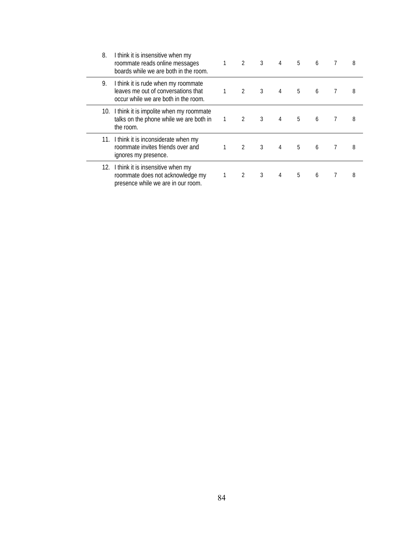| 8.  | I think it is insensitive when my<br>roommate reads online messages<br>boards while we are both in the room.       | $\overline{2}$ | 3 | 4 | 5 | 6 | 8 |
|-----|--------------------------------------------------------------------------------------------------------------------|----------------|---|---|---|---|---|
| 9.  | I think it is rude when my roommate<br>leaves me out of conversations that<br>occur while we are both in the room. | 2              | 3 | 4 | 5 | 6 | 8 |
|     | 10. I think it is impolite when my roommate<br>talks on the phone while we are both in<br>the room.                | 2              | 3 |   | 5 | 6 | 8 |
| 11. | I think it is inconsiderate when my<br>roommate invites friends over and<br>ignores my presence.                   | $\mathcal{P}$  | 3 |   | 5 | 6 | 8 |
|     | 12. I think it is insensitive when my<br>roommate does not acknowledge my<br>presence while we are in our room.    | 2              | 3 | 4 | 5 | 6 | 8 |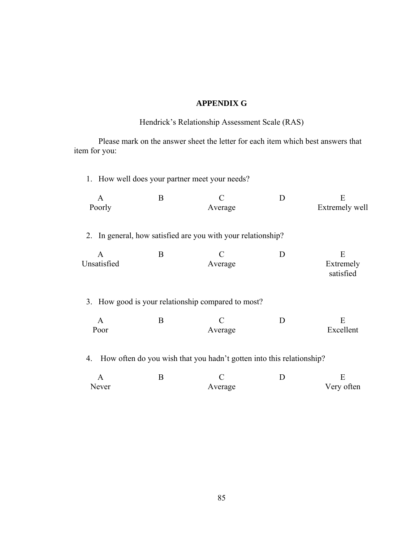### **APPENDIX G**

## Hendrick's Relationship Assessment Scale (RAS)

 Please mark on the answer sheet the letter for each item which best answers that item for you:

1. How well does your partner meet your needs? A B C D E Poorly **Average** Extremely well 2. In general, how satisfied are you with your relationship? A B C D E Unsatisfied Average Extremely satisfied 3. How good is your relationship compared to most? A B C D E Poor Average Excellent 4. How often do you wish that you hadn't gotten into this relationship?

| $\Delta$ |         |            |
|----------|---------|------------|
| Never    | Average | Very often |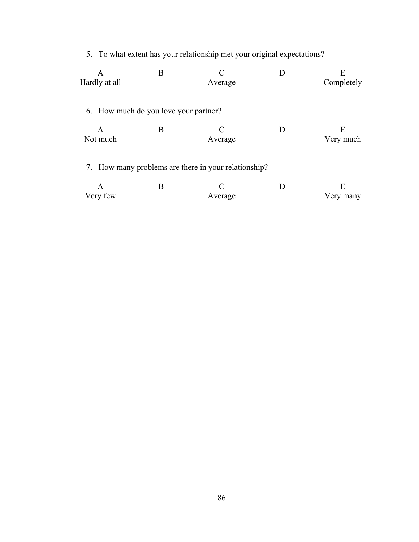5. To what extent has your relationship met your original expectations?

| A<br>Hardly at all | B                                     | Average                                              | E<br>Completely |
|--------------------|---------------------------------------|------------------------------------------------------|-----------------|
|                    | 6. How much do you love your partner? |                                                      |                 |
| A<br>Not much      | Β                                     | Average                                              | E<br>Very much  |
|                    |                                       | 7. How many problems are there in your relationship? |                 |
| A                  | В                                     |                                                      | E               |

| Very few | Average | Very many |
|----------|---------|-----------|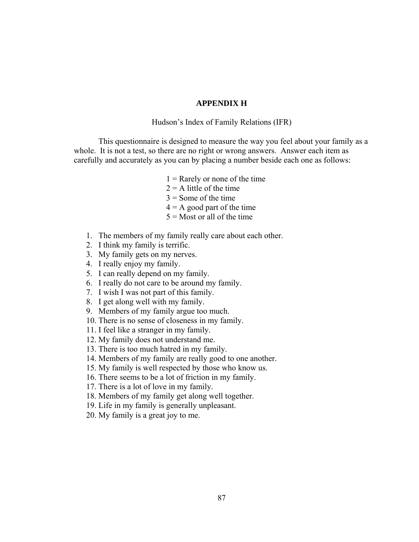### **APPENDIX H**

Hudson's Index of Family Relations (IFR)

 This questionnaire is designed to measure the way you feel about your family as a whole. It is not a test, so there are no right or wrong answers. Answer each item as carefully and accurately as you can by placing a number beside each one as follows:

- $1 =$ Rarely or none of the time
- $2 = A$  little of the time
- $3 =$  Some of the time
- $4 = A$  good part of the time
- $5 =$ Most or all of the time
- 1. The members of my family really care about each other.
- 2. I think my family is terrific.
- 3. My family gets on my nerves.
- 4. I really enjoy my family.
- 5. I can really depend on my family.
- 6. I really do not care to be around my family.
- 7. I wish I was not part of this family.
- 8. I get along well with my family.
- 9. Members of my family argue too much.
- 10. There is no sense of closeness in my family.
- 11. I feel like a stranger in my family.
- 12. My family does not understand me.
- 13. There is too much hatred in my family.
- 14. Members of my family are really good to one another.
- 15. My family is well respected by those who know us.
- 16. There seems to be a lot of friction in my family.
- 17. There is a lot of love in my family.
- 18. Members of my family get along well together.
- 19. Life in my family is generally unpleasant.
- 20. My family is a great joy to me.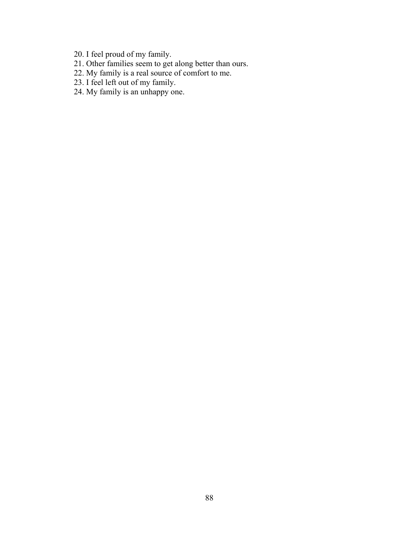- 20. I feel proud of my family.
- 21. Other families seem to get along better than ours.
- 22. My family is a real source of comfort to me.
- 23. I feel left out of my family.
- 24. My family is an unhappy one.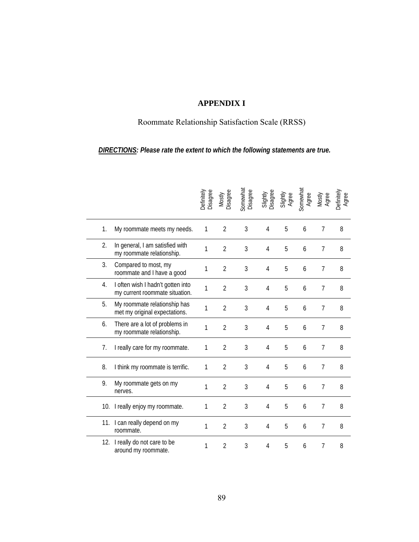# **APPENDIX I**

# Roommate Relationship Satisfaction Scale (RRSS)

## *DIRECTIONS: Please rate the extent to which the following statements are true.*

|    |                                                                     | Definitely<br>Disagree | Mostly<br>Disagree | Somewhat<br>Disagree | Slightly<br>Disagree | Slightly<br>Agree | Somewhat<br>Agree | Mostly<br>Agree | Definitely<br>Agree |
|----|---------------------------------------------------------------------|------------------------|--------------------|----------------------|----------------------|-------------------|-------------------|-----------------|---------------------|
| 1. | My roommate meets my needs.                                         | 1                      | $\overline{2}$     | 3                    | $\overline{4}$       | 5                 | 6                 | 7               | 8                   |
| 2. | In general, I am satisfied with<br>my roommate relationship.        | 1                      | $\overline{2}$     | 3                    | $\overline{4}$       | 5                 | 6                 | 7               | 8                   |
| 3. | Compared to most, my<br>roommate and I have a good                  | $\mathbf{1}$           | $\overline{2}$     | $\overline{3}$       | $\overline{4}$       | 5                 | 6                 | $\overline{7}$  | 8                   |
| 4. | I often wish I hadn't gotten into<br>my current roommate situation. | 1                      | $\overline{2}$     | 3                    | 4                    | 5                 | 6                 | 7               | 8                   |
| 5. | My roommate relationship has<br>met my original expectations.       | 1                      | $\overline{2}$     | 3                    | 4                    | 5                 | 6                 | $\overline{7}$  | 8                   |
| 6. | There are a lot of problems in<br>my roommate relationship.         | 1                      | $\overline{2}$     | 3                    | 4                    | 5                 | 6                 | 7               | 8                   |
| 7. | I really care for my roommate.                                      | $\mathbf{1}$           | $\overline{2}$     | 3                    | $\overline{4}$       | 5                 | 6                 | $\overline{7}$  | 8                   |
| 8. | I think my roommate is terrific.                                    | 1                      | $\overline{2}$     | 3                    | 4                    | 5                 | 6                 | 7               | 8                   |
| 9. | My roommate gets on my<br>nerves.                                   | 1                      | $\overline{2}$     | $\overline{3}$       | $\overline{4}$       | 5                 | 6                 | $\overline{7}$  | 8                   |
|    | 10. I really enjoy my roommate.                                     | 1                      | $\overline{2}$     | 3                    | 4                    | 5                 | 6                 | 7               | 8                   |
|    | 11. I can really depend on my<br>roommate.                          | $\mathbf{1}$           | $\overline{2}$     | 3                    | $\overline{4}$       | 5                 | 6                 | 7               | 8                   |
|    | 12. I really do not care to be<br>around my roommate.               | 1                      | $\overline{2}$     | 3                    | $\overline{4}$       | 5                 | 6                 | $\overline{7}$  | 8                   |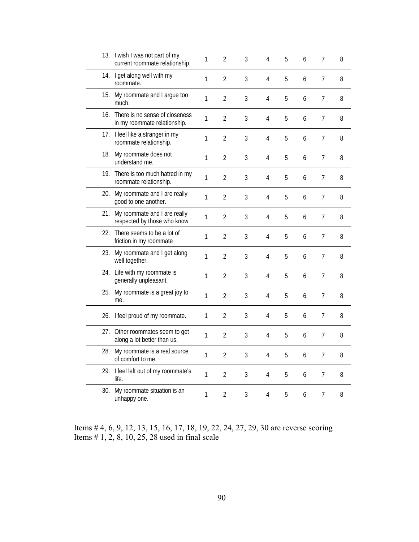|     | 13. I wish I was not part of my<br>current roommate relationship.  | 1 | $\overline{2}$ | 3              | 4              | 5 | 6 | 7 | 8 |
|-----|--------------------------------------------------------------------|---|----------------|----------------|----------------|---|---|---|---|
|     | 14. I get along well with my<br>roommate.                          | 1 | $\overline{2}$ | 3              | 4              | 5 | 6 | 7 | 8 |
|     | 15. My roommate and I argue too<br>much.                           | 1 | $\overline{2}$ | $\overline{3}$ | 4              | 5 | 6 | 7 | 8 |
|     | 16. There is no sense of closeness<br>in my roommate relationship. | 1 | $\overline{2}$ | $\overline{3}$ | $\overline{4}$ | 5 | 6 | 7 | 8 |
|     | 17. I feel like a stranger in my<br>roommate relationship.         | 1 | $\overline{2}$ | 3              | 4              | 5 | 6 | 7 | 8 |
|     | 18. My roommate does not<br>understand me.                         | 1 | $\overline{2}$ | 3              | 4              | 5 | 6 | 7 | 8 |
|     | 19. There is too much hatred in my<br>roommate relationship.       | 1 | $\overline{2}$ | 3              | 4              | 5 | 6 | 7 | 8 |
|     | 20. My roommate and I are really<br>good to one another.           | 1 | $\overline{2}$ | 3              | 4              | 5 | 6 | 7 | 8 |
| 21. | My roommate and I are really<br>respected by those who know        | 1 | $\overline{2}$ | 3              | 4              | 5 | 6 | 7 | 8 |
|     | 22. There seems to be a lot of<br>friction in my roommate          | 1 | $\overline{2}$ | 3              | 4              | 5 | 6 | 7 | 8 |
|     | 23. My roommate and I get along<br>well together.                  | 1 | $\overline{2}$ | 3              | 4              | 5 | 6 | 7 | 8 |
|     | 24. Life with my roommate is<br>generally unpleasant.              | 1 | $\overline{2}$ | 3              | $\overline{4}$ | 5 | 6 | 7 | 8 |
| 25. | My roommate is a great joy to<br>me.                               | 1 | $\overline{2}$ | 3              | 4              | 5 | 6 | 7 | 8 |
|     | 26. I feel proud of my roommate.                                   | 1 | $\overline{2}$ | 3              | $\overline{4}$ | 5 | 6 | 7 | 8 |
|     | 27. Other roommates seem to get<br>along a lot better than us.     | 1 | $\overline{2}$ | 3              | 4              | 5 | 6 | 7 | 8 |
|     | 28. My roommate is a real source<br>of comfort to me.              | 1 | 2              | 3              | 4              | 5 | 6 | 7 | 8 |
|     | 29. I feel left out of my roommate's<br>life.                      | 1 | 2              | 3              | 4              | 5 | 6 | 7 | 8 |
| 30. | My roommate situation is an<br>unhappy one.                        | 1 | $\overline{2}$ | 3              | 4              | 5 | 6 | 7 | 8 |

Items # 4, 6, 9, 12, 13, 15, 16, 17, 18, 19, 22, 24, 27, 29, 30 are reverse scoring Items # 1, 2, 8, 10, 25, 28 used in final scale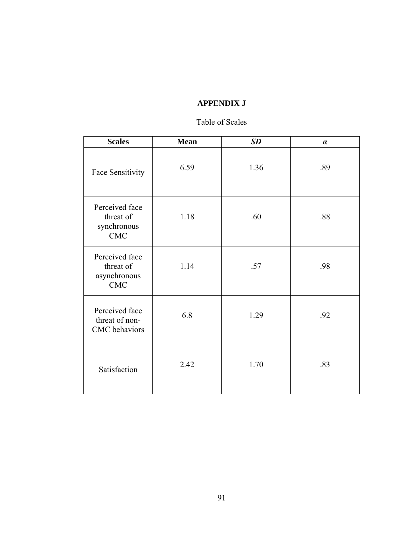# **APPENDIX J**

# Table of Scales

| <b>Scales</b>                                             | <b>Mean</b> | SD   | $\alpha$ |
|-----------------------------------------------------------|-------------|------|----------|
| Face Sensitivity                                          | 6.59        | 1.36 | .89      |
| Perceived face<br>threat of<br>synchronous<br><b>CMC</b>  | 1.18        | .60  | .88      |
| Perceived face<br>threat of<br>asynchronous<br><b>CMC</b> | 1.14        | .57  | .98      |
| Perceived face<br>threat of non-<br>CMC behaviors         | 6.8         | 1.29 | .92      |
| Satisfaction                                              | 2.42        | 1.70 | .83      |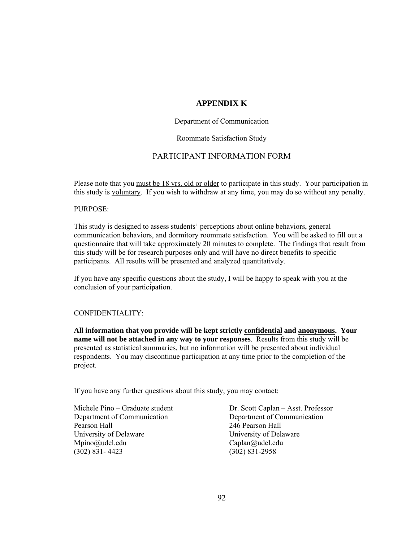## **APPENDIX K**

### Department of Communication

### Roommate Satisfaction Study

### PARTICIPANT INFORMATION FORM

Please note that you must be 18 yrs. old or older to participate in this study. Your participation in this study is voluntary. If you wish to withdraw at any time, you may do so without any penalty.

#### PURPOSE:

This study is designed to assess students' perceptions about online behaviors, general communication behaviors, and dormitory roommate satisfaction. You will be asked to fill out a questionnaire that will take approximately 20 minutes to complete. The findings that result from this study will be for research purposes only and will have no direct benefits to specific participants. All results will be presented and analyzed quantitatively.

If you have any specific questions about the study, I will be happy to speak with you at the conclusion of your participation.

#### CONFIDENTIALITY:

**All information that you provide will be kept strictly confidential and anonymous. Your name will not be attached in any way to your responses**. Results from this study will be presented as statistical summaries, but no information will be presented about individual respondents. You may discontinue participation at any time prior to the completion of the project.

If you have any further questions about this study, you may contact:

Department of Communication Department of Communication Pearson Hall 246 Pearson Hall University of Delaware University of Delaware Mpino@udel.edu Caplan@udel.edu (302) 831- 4423 (302) 831-2958

Michele Pino – Graduate student Dr. Scott Caplan – Asst. Professor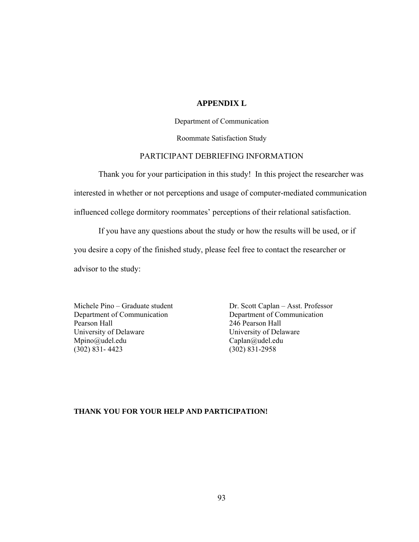## **APPENDIX L**

Department of Communication

Roommate Satisfaction Study

### PARTICIPANT DEBRIEFING INFORMATION

Thank you for your participation in this study! In this project the researcher was interested in whether or not perceptions and usage of computer-mediated communication influenced college dormitory roommates' perceptions of their relational satisfaction.

If you have any questions about the study or how the results will be used, or if

you desire a copy of the finished study, please feel free to contact the researcher or

advisor to the study:

Department of Communication Department of Communication Pearson Hall 246 Pearson Hall University of Delaware University of Delaware Mpino@udel.edu Caplan@udel.edu (302) 831- 4423 (302) 831-2958

Michele Pino – Graduate student Dr. Scott Caplan – Asst. Professor

#### **THANK YOU FOR YOUR HELP AND PARTICIPATION!**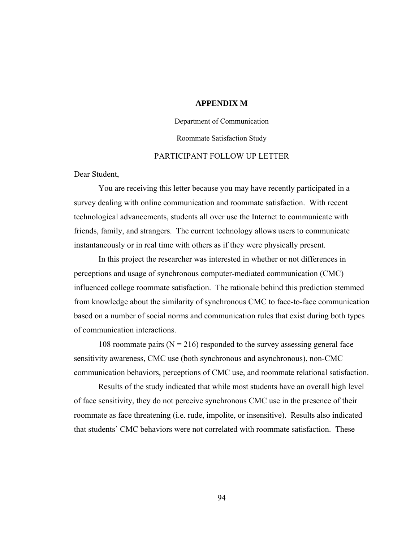### **APPENDIX M**

### Department of Communication

#### Roommate Satisfaction Study

### PARTICIPANT FOLLOW UP LETTER

Dear Student,

You are receiving this letter because you may have recently participated in a survey dealing with online communication and roommate satisfaction. With recent technological advancements, students all over use the Internet to communicate with friends, family, and strangers. The current technology allows users to communicate instantaneously or in real time with others as if they were physically present.

In this project the researcher was interested in whether or not differences in perceptions and usage of synchronous computer-mediated communication (CMC) influenced college roommate satisfaction. The rationale behind this prediction stemmed from knowledge about the similarity of synchronous CMC to face-to-face communication based on a number of social norms and communication rules that exist during both types of communication interactions.

108 roommate pairs ( $N = 216$ ) responded to the survey assessing general face sensitivity awareness, CMC use (both synchronous and asynchronous), non-CMC communication behaviors, perceptions of CMC use, and roommate relational satisfaction.

Results of the study indicated that while most students have an overall high level of face sensitivity, they do not perceive synchronous CMC use in the presence of their roommate as face threatening (i.e. rude, impolite, or insensitive). Results also indicated that students' CMC behaviors were not correlated with roommate satisfaction. These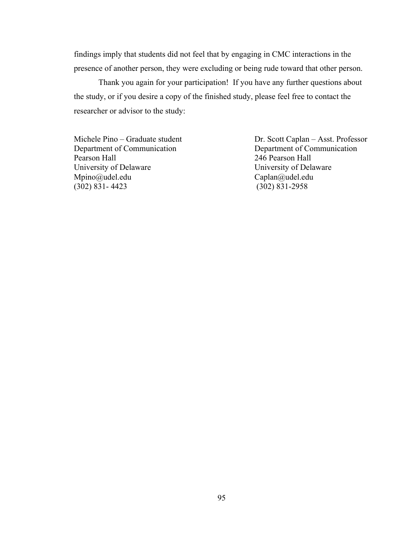findings imply that students did not feel that by engaging in CMC interactions in the presence of another person, they were excluding or being rude toward that other person.

 Thank you again for your participation! If you have any further questions about the study, or if you desire a copy of the finished study, please feel free to contact the researcher or advisor to the study:

Michele Pino – Graduate student Dr. Scott Caplan – Asst. Professor Department of Communication Department of Communication Pearson Hall 246 Pearson Hall University of Delaware University of Delaware Mpino@udel.edu Caplan@udel.edu Caplan@udel.edu Caplan@udel.edu (302) 831-4423 (302) 831-2958

 $(302)$   $831-2958$